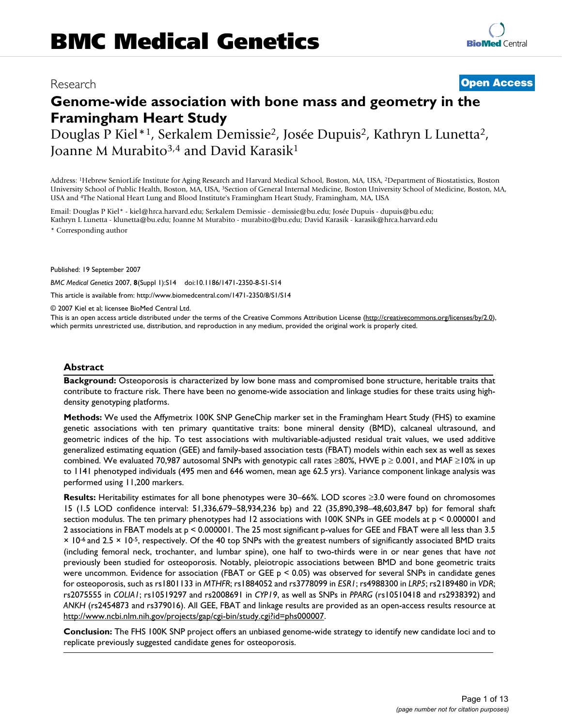# Research **[Open Access](http://www.biomedcentral.com/info/about/charter/)**

# **Genome-wide association with bone mass and geometry in the Framingham Heart Study**

Douglas P Kiel\*1, Serkalem Demissie2, Josée Dupuis2, Kathryn L Lunetta2, Joanne M Murabito<sup>3,4</sup> and David Karasik<sup>1</sup>

Address: 1Hebrew SeniorLife Institute for Aging Research and Harvard Medical School, Boston, MA, USA, 2Department of Biostatistics, Boston University School of Public Health, Boston, MA, USA, 3Section of General Internal Medicine, Boston University School of Medicine, Boston, MA, USA and 4The National Heart Lung and Blood Institute's Framingham Heart Study, Framingham, MA, USA

Email: Douglas P Kiel\* - kiel@hrca.harvard.edu; Serkalem Demissie - demissie@bu.edu; Josée Dupuis - dupuis@bu.edu; Kathryn L Lunetta - klunetta@bu.edu; Joanne M Murabito - murabito@bu.edu; David Karasik - karasik@hrca.harvard.edu \* Corresponding author

Published: 19 September 2007

*BMC Medical Genetics* 2007, **8**(Suppl 1):S14 doi:10.1186/1471-2350-8-S1-S14

[This article is available from: http://www.biomedcentral.com/1471-2350/8/S1/S14](http://www.biomedcentral.com/1471-2350/8/S1/S14)

© 2007 Kiel et al; licensee BioMed Central Ltd.

This is an open access article distributed under the terms of the Creative Commons Attribution License [\(http://creativecommons.org/licenses/by/2.0\)](http://creativecommons.org/licenses/by/2.0), which permits unrestricted use, distribution, and reproduction in any medium, provided the original work is properly cited.

#### **Abstract**

**Background:** Osteoporosis is characterized by low bone mass and compromised bone structure, heritable traits that contribute to fracture risk. There have been no genome-wide association and linkage studies for these traits using highdensity genotyping platforms.

**Methods:** We used the Affymetrix 100K SNP GeneChip marker set in the Framingham Heart Study (FHS) to examine genetic associations with ten primary quantitative traits: bone mineral density (BMD), calcaneal ultrasound, and geometric indices of the hip. To test associations with multivariable-adjusted residual trait values, we used additive generalized estimating equation (GEE) and family-based association tests (FBAT) models within each sex as well as sexes combined. We evaluated 70,987 autosomal SNPs with genotypic call rates ≥80%, HWE p ≥ 0.001, and MAF ≥10% in up to 1141 phenotyped individuals (495 men and 646 women, mean age 62.5 yrs). Variance component linkage analysis was performed using 11,200 markers.

**Results:** Heritability estimates for all bone phenotypes were 30–66%. LOD scores ≥3.0 were found on chromosomes 15 (1.5 LOD confidence interval: 51,336,679–58,934,236 bp) and 22 (35,890,398–48,603,847 bp) for femoral shaft section modulus. The ten primary phenotypes had 12 associations with 100K SNPs in GEE models at p < 0.000001 and 2 associations in FBAT models at p < 0.000001. The 25 most significant p-values for GEE and FBAT were all less than 3.5 × 10-6 and 2.5 × 10-5, respectively. Of the 40 top SNPs with the greatest numbers of significantly associated BMD traits (including femoral neck, trochanter, and lumbar spine), one half to two-thirds were in or near genes that have *not* previously been studied for osteoporosis. Notably, pleiotropic associations between BMD and bone geometric traits were uncommon. Evidence for association (FBAT or GEE p < 0.05) was observed for several SNPs in candidate genes for osteoporosis, such as rs1801133 in *MTHFR*; rs1884052 and rs3778099 in *ESR1*; rs4988300 in *LRP5*; rs2189480 in *VDR*; rs2075555 in *COLIA1*; rs10519297 and rs2008691 in *CYP19*, as well as SNPs in *PPARG* (rs10510418 and rs2938392) and *ANKH* (rs2454873 and rs379016). All GEE, FBAT and linkage results are provided as an open-access results resource at <http://www.ncbi.nlm.nih.gov/projects/gap/cgi-bin/study.cgi?id=phs000007>.

**Conclusion:** The FHS 100K SNP project offers an unbiased genome-wide strategy to identify new candidate loci and to replicate previously suggested candidate genes for osteoporosis.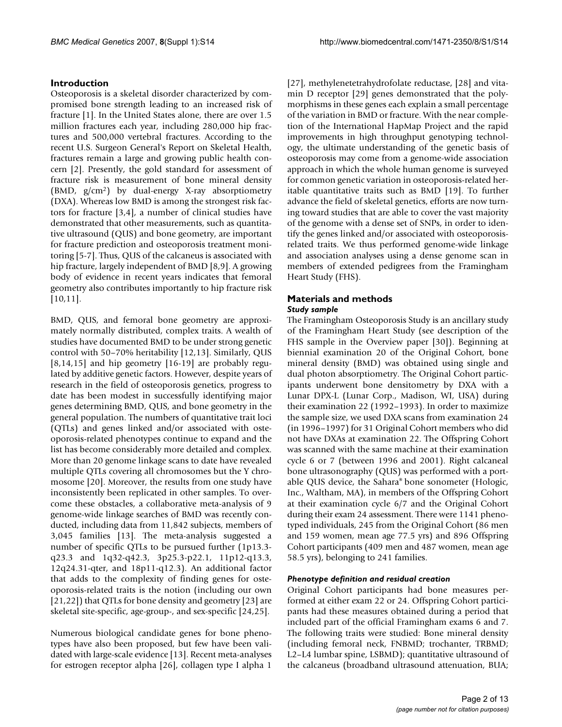### **Introduction**

Osteoporosis is a skeletal disorder characterized by compromised bone strength leading to an increased risk of fracture [1]. In the United States alone, there are over 1.5 million fractures each year, including 280,000 hip fractures and 500,000 vertebral fractures. According to the recent U.S. Surgeon General's Report on Skeletal Health, fractures remain a large and growing public health concern [2]. Presently, the gold standard for assessment of fracture risk is measurement of bone mineral density (BMD, g/cm2) by dual-energy X-ray absorptiometry (DXA). Whereas low BMD is among the strongest risk factors for fracture [3,4], a number of clinical studies have demonstrated that other measurements, such as quantitative ultrasound (QUS) and bone geometry, are important for fracture prediction and osteoporosis treatment monitoring [5-7]. Thus, QUS of the calcaneus is associated with hip fracture, largely independent of BMD [8,9]. A growing body of evidence in recent years indicates that femoral geometry also contributes importantly to hip fracture risk [10,11].

BMD, QUS, and femoral bone geometry are approximately normally distributed, complex traits. A wealth of studies have documented BMD to be under strong genetic control with 50–70% heritability [12,13]. Similarly, QUS [8,14,15] and hip geometry [16-19] are probably regulated by additive genetic factors. However, despite years of research in the field of osteoporosis genetics, progress to date has been modest in successfully identifying major genes determining BMD, QUS, and bone geometry in the general population. The numbers of quantitative trait loci (QTLs) and genes linked and/or associated with osteoporosis-related phenotypes continue to expand and the list has become considerably more detailed and complex. More than 20 genome linkage scans to date have revealed multiple QTLs covering all chromosomes but the Y chromosome [20]. Moreover, the results from one study have inconsistently been replicated in other samples. To overcome these obstacles, a collaborative meta-analysis of 9 genome-wide linkage searches of BMD was recently conducted, including data from 11,842 subjects, members of 3,045 families [13]. The meta-analysis suggested a number of specific QTLs to be pursued further (1p13.3 q23.3 and 1q32-q42.3, 3p25.3-p22.1, 11p12-q13.3, 12q24.31-qter, and 18p11-q12.3). An additional factor that adds to the complexity of finding genes for osteoporosis-related traits is the notion (including our own [21,22]) that QTLs for bone density and geometry [23] are skeletal site-specific, age-group-, and sex-specific [24,25].

Numerous biological candidate genes for bone phenotypes have also been proposed, but few have been validated with large-scale evidence [13]. Recent meta-analyses for estrogen receptor alpha [26], collagen type I alpha 1

[27], methylenetetrahydrofolate reductase, [28] and vitamin D receptor [29] genes demonstrated that the polymorphisms in these genes each explain a small percentage of the variation in BMD or fracture. With the near completion of the International HapMap Project and the rapid improvements in high throughput genotyping technology, the ultimate understanding of the genetic basis of osteoporosis may come from a genome-wide association approach in which the whole human genome is surveyed for common genetic variation in osteoporosis-related heritable quantitative traits such as BMD [19]. To further advance the field of skeletal genetics, efforts are now turning toward studies that are able to cover the vast majority of the genome with a dense set of SNPs, in order to identify the genes linked and/or associated with osteoporosisrelated traits. We thus performed genome-wide linkage and association analyses using a dense genome scan in members of extended pedigrees from the Framingham Heart Study (FHS).

## **Materials and methods**

#### *Study sample*

The Framingham Osteoporosis Study is an ancillary study of the Framingham Heart Study (see description of the FHS sample in the Overview paper [30]). Beginning at biennial examination 20 of the Original Cohort, bone mineral density (BMD) was obtained using single and dual photon absorptiometry. The Original Cohort participants underwent bone densitometry by DXA with a Lunar DPX-L (Lunar Corp., Madison, WI, USA) during their examination 22 (1992–1993). In order to maximize the sample size, we used DXA scans from examination 24 (in 1996–1997) for 31 Original Cohort members who did not have DXAs at examination 22. The Offspring Cohort was scanned with the same machine at their examination cycle 6 or 7 (between 1996 and 2001). Right calcaneal bone ultrasonography (QUS) was performed with a portable QUS device, the Sahara® bone sonometer (Hologic, Inc., Waltham, MA), in members of the Offspring Cohort at their examination cycle 6/7 and the Original Cohort during their exam 24 assessment. There were 1141 phenotyped individuals, 245 from the Original Cohort (86 men and 159 women, mean age 77.5 yrs) and 896 Offspring Cohort participants (409 men and 487 women, mean age 58.5 yrs), belonging to 241 families.

#### *Phenotype definition and residual creation*

Original Cohort participants had bone measures performed at either exam 22 or 24. Offspring Cohort participants had these measures obtained during a period that included part of the official Framingham exams 6 and 7. The following traits were studied: Bone mineral density (including femoral neck, FNBMD; trochanter, TRBMD; L2–L4 lumbar spine, LSBMD); quantitative ultrasound of the calcaneus (broadband ultrasound attenuation, BUA;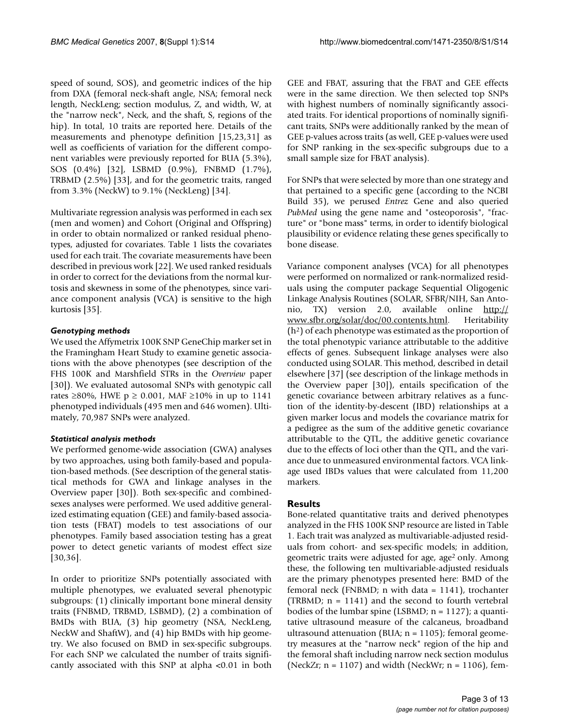speed of sound, SOS), and geometric indices of the hip from DXA (femoral neck-shaft angle, NSA; femoral neck length, NeckLeng; section modulus, Z, and width, W, at the "narrow neck", Neck, and the shaft, S, regions of the hip). In total, 10 traits are reported here. Details of the measurements and phenotype definition [15,23,31] as well as coefficients of variation for the different component variables were previously reported for BUA (5.3%), SOS (0.4%) [32], LSBMD (0.9%), FNBMD (1.7%), TRBMD (2.5%) [33], and for the geometric traits, ranged from 3.3% (NeckW) to 9.1% (NeckLeng) [34].

Multivariate regression analysis was performed in each sex (men and women) and Cohort (Original and Offspring) in order to obtain normalized or ranked residual phenotypes, adjusted for covariates. Table 1 lists the covariates used for each trait. The covariate measurements have been described in previous work [22]. We used ranked residuals in order to correct for the deviations from the normal kurtosis and skewness in some of the phenotypes, since variance component analysis (VCA) is sensitive to the high kurtosis [35].

### *Genotyping methods*

We used the Affymetrix 100K SNP GeneChip marker set in the Framingham Heart Study to examine genetic associations with the above phenotypes (see description of the FHS 100K and Marshfield STRs in the *Overview* paper [30]). We evaluated autosomal SNPs with genotypic call rates ≥80%, HWE  $p \ge 0.001$ , MAF ≥10% in up to 1141 phenotyped individuals (495 men and 646 women). Ultimately, 70,987 SNPs were analyzed.

### *Statistical analysis methods*

We performed genome-wide association (GWA) analyses by two approaches, using both family-based and population-based methods. (See description of the general statistical methods for GWA and linkage analyses in the Overview paper [30]). Both sex-specific and combinedsexes analyses were performed. We used additive generalized estimating equation (GEE) and family-based association tests (FBAT) models to test associations of our phenotypes. Family based association testing has a great power to detect genetic variants of modest effect size [30,36].

In order to prioritize SNPs potentially associated with multiple phenotypes, we evaluated several phenotypic subgroups: (1) clinically important bone mineral density traits (FNBMD, TRBMD, LSBMD), (2) a combination of BMDs with BUA, (3) hip geometry (NSA, NeckLeng, NeckW and ShaftW), and (4) hip BMDs with hip geometry. We also focused on BMD in sex-specific subgroups. For each SNP we calculated the number of traits significantly associated with this SNP at alpha <0.01 in both

GEE and FBAT, assuring that the FBAT and GEE effects were in the same direction. We then selected top SNPs with highest numbers of nominally significantly associated traits. For identical proportions of nominally significant traits, SNPs were additionally ranked by the mean of GEE p-values across traits (as well, GEE p-values were used for SNP ranking in the sex-specific subgroups due to a small sample size for FBAT analysis).

For SNPs that were selected by more than one strategy and that pertained to a specific gene (according to the NCBI Build 35), we perused *Entrez* Gene and also queried *PubMed* using the gene name and "osteoporosis", "fracture" or "bone mass" terms, in order to identify biological plausibility or evidence relating these genes specifically to bone disease.

Variance component analyses (VCA) for all phenotypes were performed on normalized or rank-normalized residuals using the computer package Sequential Oligogenic Linkage Analysis Routines (SOLAR, SFBR/NIH, San Antonio, TX) version 2.0, available online [http://](http://www.sfbr.org/solar/doc/00.contents.html) [www.sfbr.org/solar/doc/00.contents.html.](http://www.sfbr.org/solar/doc/00.contents.html) Heritability  $(h<sup>2</sup>)$  of each phenotype was estimated as the proportion of the total phenotypic variance attributable to the additive effects of genes. Subsequent linkage analyses were also conducted using SOLAR. This method, described in detail elsewhere [37] (see description of the linkage methods in the Overview paper [30]), entails specification of the genetic covariance between arbitrary relatives as a function of the identity-by-descent (IBD) relationships at a given marker locus and models the covariance matrix for a pedigree as the sum of the additive genetic covariance attributable to the QTL, the additive genetic covariance due to the effects of loci other than the QTL, and the variance due to unmeasured environmental factors. VCA linkage used IBDs values that were calculated from 11,200 markers.

### **Results**

Bone-related quantitative traits and derived phenotypes analyzed in the FHS 100K SNP resource are listed in Table 1. Each trait was analyzed as multivariable-adjusted residuals from cohort- and sex-specific models; in addition, geometric traits were adjusted for age, age<sup>2</sup> only. Among these, the following ten multivariable-adjusted residuals are the primary phenotypes presented here: BMD of the femoral neck (FNBMD; n with data = 1141), trochanter (TRBMD;  $n = 1141$ ) and the second to fourth vertebral bodies of the lumbar spine (LSBMD;  $n = 1127$ ); a quantitative ultrasound measure of the calcaneus, broadband ultrasound attenuation (BUA; n = 1105); femoral geometry measures at the "narrow neck" region of the hip and the femoral shaft including narrow neck section modulus (NeckZr;  $n = 1107$ ) and width (NeckWr;  $n = 1106$ ), fem-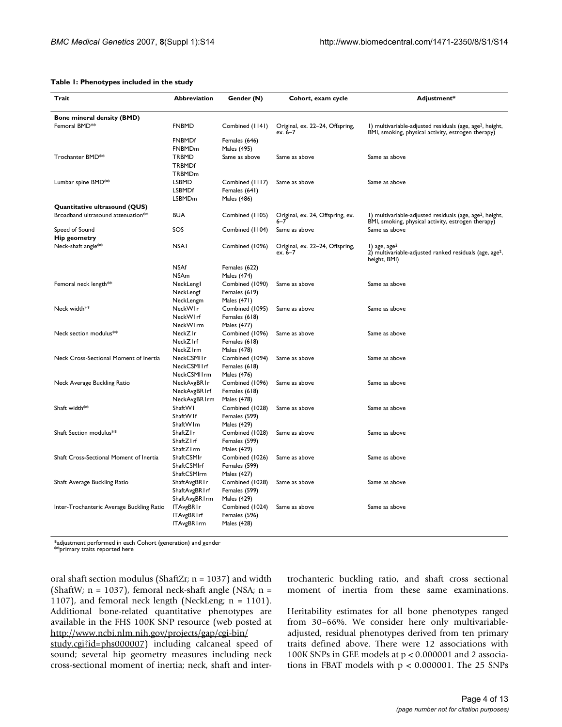#### **Table 1: Phenotypes included in the study**

| Trait                                          | Abbreviation                        | Gender (N)                     | Cohort, exam cycle                          | Adjustment*                                                                                                                |
|------------------------------------------------|-------------------------------------|--------------------------------|---------------------------------------------|----------------------------------------------------------------------------------------------------------------------------|
| Bone mineral density (BMD)                     |                                     |                                |                                             |                                                                                                                            |
| Femoral BMD <sup>**</sup>                      | <b>FNBMD</b>                        | Combined (1141)                | Original, ex. 22-24, Offspring,<br>ex. 6–7  | I) multivariable-adjusted residuals (age, age <sup>2</sup> , height,<br>BMI, smoking, physical activity, estrogen therapy) |
|                                                | <b>FNBMDf</b>                       | Females (646)                  |                                             |                                                                                                                            |
|                                                | FNBMDm                              | Males (495)                    |                                             |                                                                                                                            |
| Trochanter BMD**                               | TRBMD                               | Same as above                  | Same as above                               | Same as above                                                                                                              |
|                                                | TRBMDf                              |                                |                                             |                                                                                                                            |
|                                                | TRBMDm                              |                                |                                             |                                                                                                                            |
| Lumbar spine BMD <sup>**</sup>                 | LSBMD<br><b>LSBMDf</b>              | Combined (1117)                | Same as above                               | Same as above                                                                                                              |
|                                                | LSBMDm                              | Females (641)<br>Males (486)   |                                             |                                                                                                                            |
| Quantitative ultrasound (QUS)                  |                                     |                                |                                             |                                                                                                                            |
| Broadband ultrasound attenuation <sup>**</sup> | <b>BUA</b>                          | Combined (1105)                | Original, ex. 24, Offspring, ex.<br>$6 - 7$ | I) multivariable-adjusted residuals (age, age <sup>2</sup> , height,<br>BMI, smoking, physical activity, estrogen therapy) |
| Speed of Sound                                 | SOS                                 | Combined (1104)                | Same as above                               | Same as above                                                                                                              |
| <b>Hip geometry</b>                            |                                     |                                |                                             |                                                                                                                            |
| Neck-shaft angle**                             | <b>NSAI</b>                         | Combined (1096)                | Original, ex. 22-24, Offspring,<br>ex. 6–7  | $\vert$ ) age, age <sup>2</sup><br>2) multivariable-adjusted ranked residuals (age, age <sup>2</sup> ,<br>height, BMI)     |
|                                                | <b>NSAf</b>                         | Females (622)                  |                                             |                                                                                                                            |
|                                                | NSAm                                | Males (474)                    |                                             |                                                                                                                            |
| Femoral neck length**                          | NeckLengl                           | Combined (1090)                | Same as above                               | Same as above                                                                                                              |
|                                                | NeckLengf                           | Females (619)                  |                                             |                                                                                                                            |
| Neck width**                                   | NeckLengm<br>NeckWIr                | Males (471)<br>Combined (1095) | Same as above                               | Same as above                                                                                                              |
|                                                | NeckWIrf                            | Females (618)                  |                                             |                                                                                                                            |
|                                                | NeckW1rm                            | Males (477)                    |                                             |                                                                                                                            |
| Neck section modulus <sup>**</sup>             | NeckZIr                             | Combined (1096)                | Same as above                               | Same as above                                                                                                              |
|                                                | NeckZIrf                            | Females (618)                  |                                             |                                                                                                                            |
|                                                | NeckZIrm                            | Males (478)                    |                                             |                                                                                                                            |
| Neck Cross-Sectional Moment of Inertia         | NeckCSMIIr                          | Combined (1094)                | Same as above                               | Same as above                                                                                                              |
|                                                | NeckCSMIIrf                         | Females (618)                  |                                             |                                                                                                                            |
|                                                | NeckCSMIIrm                         | Males (476)                    |                                             |                                                                                                                            |
| Neck Average Buckling Ratio                    | NeckAvgBRIr                         | Combined (1096)                | Same as above                               | Same as above                                                                                                              |
|                                                | NeckAvgBR Irf                       | Females (618)                  |                                             |                                                                                                                            |
| Shaft width**                                  | NeckAvgBR1rm<br>ShaftWI             | Males (478)<br>Combined (1028) | Same as above                               | Same as above                                                                                                              |
|                                                | ShaftW If                           | Females (599)                  |                                             |                                                                                                                            |
|                                                | ShaftW Im                           | Males (429)                    |                                             |                                                                                                                            |
| Shaft Section modulus**                        | ShaftZIr                            | Combined (1028)                | Same as above                               | Same as above                                                                                                              |
|                                                | ShaftZ I rf                         | Females (599)                  |                                             |                                                                                                                            |
|                                                | ShaftZIrm                           | Males (429)                    |                                             |                                                                                                                            |
| Shaft Cross-Sectional Moment of Inertia        | ShaftCSMIr                          | Combined (1026)                | Same as above                               | Same as above                                                                                                              |
|                                                | ShaftCSMIrf                         | Females (599)                  |                                             |                                                                                                                            |
|                                                | ShaftCSMIrm                         | Males (427)                    |                                             |                                                                                                                            |
| Shaft Average Buckling Ratio                   | ShaftAvgBR I r                      | Combined (1028)                | Same as above                               | Same as above                                                                                                              |
|                                                | ShaftAvgBR I rf                     | Females (599)                  |                                             |                                                                                                                            |
| Inter-Trochanteric Average Buckling Ratio      | ShaftAvgBR I rm<br><b>ITAvgBRIr</b> | Males (429)<br>Combined (1024) | Same as above                               | Same as above                                                                                                              |
|                                                | <b>ITAvgBRIrf</b>                   | Females (596)                  |                                             |                                                                                                                            |
|                                                | <b>ITAvgBRIrm</b>                   | Males (428)                    |                                             |                                                                                                                            |
|                                                |                                     |                                |                                             |                                                                                                                            |

\*adjustment performed in each Cohort (generation) and gender

\*\*primary traits reported here

oral shaft section modulus (ShaftZr; n = 1037) and width (ShaftW;  $n = 1037$ ), femoral neck-shaft angle (NSA;  $n =$ 1107), and femoral neck length (NeckLeng;  $n = 1101$ ). Additional bone-related quantitative phenotypes are available in the FHS 100K SNP resource (web posted at [http://www.ncbi.nlm.nih.gov/projects/gap/cgi-bin/](http://www.ncbi.nlm.nih.gov/projects/gap/cgi-bin/study.cgi?id=phs000007)

[study.cgi?id=phs000007\)](http://www.ncbi.nlm.nih.gov/projects/gap/cgi-bin/study.cgi?id=phs000007) including calcaneal speed of sound; several hip geometry measures including neck cross-sectional moment of inertia; neck, shaft and intertrochanteric buckling ratio, and shaft cross sectional moment of inertia from these same examinations.

Heritability estimates for all bone phenotypes ranged from 30–66%. We consider here only multivariableadjusted, residual phenotypes derived from ten primary traits defined above. There were 12 associations with 100K SNPs in GEE models at p < 0.000001 and 2 associations in FBAT models with  $p < 0.000001$ . The 25 SNPs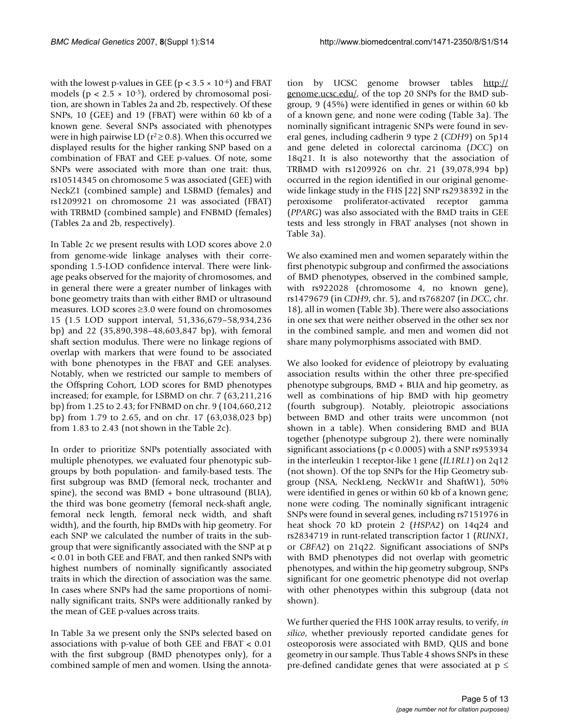with the lowest p-values in GEE ( $p < 3.5 \times 10^{-6}$ ) and FBAT models ( $p < 2.5 \times 10^{-5}$ ), ordered by chromosomal position, are shown in Tables 2a and 2b, respectively. Of these SNPs, 10 (GEE) and 19 (FBAT) were within 60 kb of a known gene. Several SNPs associated with phenotypes were in high pairwise LD ( $r^2 \ge 0.8$ ). When this occurred we displayed results for the higher ranking SNP based on a combination of FBAT and GEE p-values. Of note, some SNPs were associated with more than one trait: thus, rs10514345 on chromosome 5 was associated (GEE) with NeckZ1 (combined sample) and LSBMD (females) and rs1209921 on chromosome 21 was associated (FBAT) with TRBMD (combined sample) and FNBMD (females) (Tables 2a and 2b, respectively).

In Table 2c we present results with LOD scores above 2.0 from genome-wide linkage analyses with their corresponding 1.5-LOD confidence interval. There were linkage peaks observed for the majority of chromosomes, and in general there were a greater number of linkages with bone geometry traits than with either BMD or ultrasound measures. LOD scores ≥3.0 were found on chromosomes 15 (1.5 LOD support interval, 51,336,679–58,934,236 bp) and 22 (35,890,398–48,603,847 bp), with femoral shaft section modulus. There were no linkage regions of overlap with markers that were found to be associated with bone phenotypes in the FBAT and GEE analyses. Notably, when we restricted our sample to members of the Offspring Cohort, LOD scores for BMD phenotypes increased; for example, for LSBMD on chr. 7 (63,211,216 bp) from 1.25 to 2.43; for FNBMD on chr. 9 (104,660,212 bp) from 1.79 to 2.65, and on chr. 17 (63,038,023 bp) from 1.83 to 2.43 (not shown in the Table 2c).

In order to prioritize SNPs potentially associated with multiple phenotypes, we evaluated four phenotypic subgroups by both population- and family-based tests. The first subgroup was BMD (femoral neck, trochanter and spine), the second was BMD + bone ultrasound (BUA), the third was bone geometry (femoral neck-shaft angle, femoral neck length, femoral neck width, and shaft width), and the fourth, hip BMDs with hip geometry. For each SNP we calculated the number of traits in the subgroup that were significantly associated with the SNP at p < 0.01 in both GEE and FBAT, and then ranked SNPs with highest numbers of nominally significantly associated traits in which the direction of association was the same. In cases where SNPs had the same proportions of nominally significant traits, SNPs were additionally ranked by the mean of GEE p-values across traits.

In Table 3a we present only the SNPs selected based on associations with p-value of both GEE and FBAT < 0.01 with the first subgroup (BMD phenotypes only), for a combined sample of men and women. Using the annotation by UCSC genome browser tables [http://](http://genome.ucsc.edu/) [genome.ucsc.edu/,](http://genome.ucsc.edu/) of the top 20 SNPs for the BMD subgroup, 9 (45%) were identified in genes or within 60 kb of a known gene, and none were coding (Table 3a). The nominally significant intragenic SNPs were found in several genes, including cadherin 9 type 2 (*CDH9*) on 5p14 and gene deleted in colorectal carcinoma (*DCC*) on 18q21. It is also noteworthy that the association of TRBMD with rs1209926 on chr. 21 (39,078,994 bp) occurred in the region identified in our original genomewide linkage study in the FHS [22] SNP rs2938392 in the peroxisome proliferator-activated receptor gamma (*PPARG*) was also associated with the BMD traits in GEE tests and less strongly in FBAT analyses (not shown in Table 3a).

We also examined men and women separately within the first phenotypic subgroup and confirmed the associations of BMD phenotypes, observed in the combined sample, with rs922028 (chromosome 4, no known gene), rs1479679 (in *CDH9*, chr. 5), and rs768207 (in *DCC*, chr. 18), all in women (Table 3b). There were also associations in one sex that were neither observed in the other sex nor in the combined sample, and men and women did not share many polymorphisms associated with BMD.

We also looked for evidence of pleiotropy by evaluating association results within the other three pre-specified phenotype subgroups, BMD + BUA and hip geometry, as well as combinations of hip BMD with hip geometry (fourth subgroup). Notably, pleiotropic associations between BMD and other traits were uncommon (not shown in a table). When considering BMD and BUA together (phenotype subgroup 2), there were nominally significant associations (p < 0.0005) with a SNP rs953934 in the interleukin 1 receptor-like 1 gene (*IL1RL1*) on 2q12 (not shown). Of the top SNPs for the Hip Geometry subgroup (NSA, NeckLeng, NeckW1r and ShaftW1), 50% were identified in genes or within 60 kb of a known gene; none were coding. The nominally significant intragenic SNPs were found in several genes, including rs7151976 in heat shock 70 kD protein 2 (*HSPA2*) on 14q24 and rs2834719 in runt-related transcription factor 1 (*RUNX1*, or *CBFA2*) on 21q22. Significant associations of SNPs with BMD phenotypes did not overlap with geometric phenotypes, and within the hip geometry subgroup, SNPs significant for one geometric phenotype did not overlap with other phenotypes within this subgroup (data not shown).

We further queried the FHS 100K array results, to verify, *in silico*, whether previously reported candidate genes for osteoporosis were associated with BMD, QUS and bone geometry in our sample. Thus Table 4 shows SNPs in these pre-defined candidate genes that were associated at  $p \leq$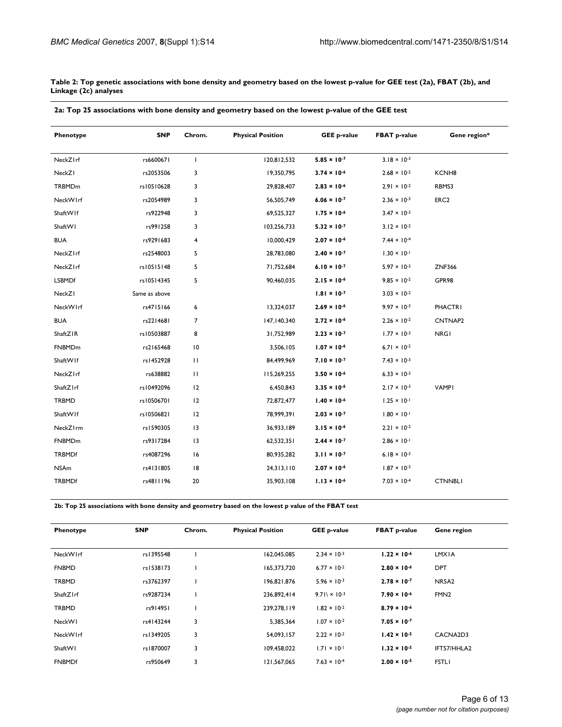**Table 2: Top genetic associations with bone density and geometry based on the lowest p-value for GEE test (2a), FBAT (2b), and Linkage (2c) analyses**

| Phenotype     | <b>SNP</b>    | Chrom.                  | <b>Physical Position</b> | <b>GEE p-value</b>    | <b>FBAT p-value</b>   | Gene region*      |
|---------------|---------------|-------------------------|--------------------------|-----------------------|-----------------------|-------------------|
| NeckZIrf      | rs6600671     | $\mathbf{I}$            | 120,812,532              | $5.85 \times 10^{-7}$ | $3.18 \times 10^{-3}$ |                   |
| NeckZI        | rs2053506     | 3                       | 19,350,795               | $3.74 \times 10^{-6}$ | $2.68 \times 10^{-2}$ | KCNH <sub>8</sub> |
| TRBMDm        | rs10510628    | 3                       | 29,828,407               | $2.83 \times 10^{-6}$ | $2.91 \times 10^{-2}$ | RBMS3             |
| NeckWIrf      | rs2054989     | 3                       | 56,505,749               | $6.06 \times 10^{-7}$ | $2.36 \times 10^{-3}$ | ERC <sub>2</sub>  |
| ShaftWIf      | rs922948      | 3                       | 69,525,327               | $1.75 \times 10^{-6}$ | $3.47 \times 10^{-3}$ |                   |
| ShaftWI       | rs991258      | 3                       | 103,256,733              | $5.32 \times 10^{-7}$ | $3.12 \times 10^{-2}$ |                   |
| <b>BUA</b>    | rs9291683     | $\overline{\mathbf{4}}$ | 10,000,429               | $2.07 \times 10^{-6}$ | $7.44 \times 10^{-4}$ |                   |
| NeckZIrf      | rs2548003     | 5                       | 28,783,080               | $2.40 \times 10^{-7}$ | $1.30 \times 10^{-1}$ |                   |
| NeckZIrf      | rs10515148    | 5                       | 71,752,684               | $6.10 \times 10^{-7}$ | $5.97 \times 10^{-3}$ | <b>ZNF366</b>     |
| <b>LSBMDf</b> | rs10514345    | 5                       | 90,460,035               | $2.15 \times 10^{-6}$ | $9.85 \times 10^{-2}$ | GPR98             |
| NeckZI        | Same as above |                         |                          | $1.81 \times 10^{-7}$ | $3.03 \times 10^{-2}$ |                   |
| NeckWIrf      | rs4715166     | 6                       | 13,324,037               | $2.69 \times 10^{-6}$ | $9.97 \times 10^{-3}$ | <b>PHACTRI</b>    |
| <b>BUA</b>    | rs2214681     | $\overline{7}$          | 147, 140, 340            | $2.72 \times 10^{-6}$ | $2.26 \times 10^{-2}$ | CNTNAP2           |
| ShaftZIR      | rs10503887    | 8                       | 31,752,989               | $2.23 \times 10^{-7}$ | $1.77 \times 10^{-3}$ | <b>NRGI</b>       |
| FNBMDm        | rs2165468     | $\overline{10}$         | 3,506,105                | $1.07 \times 10^{-6}$ | $6.71 \times 10^{-2}$ |                   |
| ShaftWIf      | rs1452928     | $\mathbf{H}$            | 84,499,969               | $7.10 \times 10^{-7}$ | $7.43 \times 10^{-3}$ |                   |
| NeckZIrf      | rs638882      | $\mathbf{H}$            | 115,269,255              | $3.50 \times 10^{-6}$ | $6.33 \times 10^{-3}$ |                   |
| ShaftZIrf     | rs10492096    | 12                      | 6,450,843                | $3.35 \times 10^{-6}$ | $2.17 \times 10^{-3}$ | <b>VAMPI</b>      |
| <b>TRBMD</b>  | rs10506701    | 12                      | 72,872,477               | $1.40 \times 10^{-6}$ | $1.25 \times 10^{-1}$ |                   |
| ShaftWIf      | rs10506821    | 12                      | 78,999,391               | $2.03 \times 10^{-7}$ | $1.80 \times 10^{-1}$ |                   |
| NeckZIrm      | rs1590305     | 13                      | 36,933,189               | $3.15 \times 10^{-6}$ | $2.21 \times 10^{-2}$ |                   |
| FNBMDm        | rs9317284     | 3                       | 62,532,351               | $2.44 \times 10^{-7}$ | $2.86 \times 10^{-1}$ |                   |
| <b>TRBMDf</b> | rs4087296     | 6                       | 80,935,282               | $3.11 \times 10^{-7}$ | $6.18 \times 10^{-3}$ |                   |
| <b>NSAm</b>   | rs4131805     | 8                       | 24,313,110               | $2.07 \times 10^{-6}$ | $1.87 \times 10^{-3}$ |                   |
| <b>TRBMDf</b> | rs4811196     | 20                      | 35,903,108               | $1.13 \times 10^{-6}$ | $7.03 \times 10^{-4}$ | <b>CTNNBLI</b>    |

**2b: Top 25 associations with bone density and geometry based on the lowest p value of the FBAT test**

| Phenotype     | <b>SNP</b> | Chrom. | <b>Physical Position</b> | <b>GEE p-value</b>    | <b>FBAT p-value</b>   | Gene region      |
|---------------|------------|--------|--------------------------|-----------------------|-----------------------|------------------|
|               |            |        |                          |                       |                       |                  |
| NeckWIrf      | rs1395548  |        | 162,045,085              | $2.34 \times 10^{-3}$ | $1.22 \times 10^{-6}$ | LMXIA            |
| <b>FNBMD</b>  | rs1538173  |        | 165,373,720              | $6.77 \times 10^{-2}$ | $2.80 \times 10^{-6}$ | <b>DPT</b>       |
| <b>TRBMD</b>  | rs3762397  |        | 196.821.876              | $5.96 \times 10^{-3}$ | $2.78 \times 10^{-7}$ | NR5A2            |
| ShaftZIrf     | rs9287234  |        | 236,892,414              | $9.71 \times 10^{-3}$ | $7.90 \times 10^{-6}$ | FMN <sub>2</sub> |
| <b>TRBMD</b>  | rs914951   |        | 239,278,119              | $1.82 \times 10^{-2}$ | $8.79 \times 10^{-6}$ |                  |
| NeckWI        | rs4143244  | 3      | 5,385,364                | $1.07 \times 10^{-2}$ | $7.05 \times 10^{-7}$ |                  |
| NeckWIrf      | rs1349205  | 3      | 54,093,157               | $2.22 \times 10^{-2}$ | $1.42 \times 10^{-5}$ | CACNA2D3         |
| ShaftWI       | rs1870007  | 3      | 109,458,022              | $1.71 \times 10^{-1}$ | $1.32 \times 10^{-5}$ | IFT57/HHLA2      |
| <b>FNBMDf</b> | rs950649   | 3      | 121,567,065              | $7.63 \times 10^{-4}$ | $2.00 \times 10^{-5}$ | <b>FSTLI</b>     |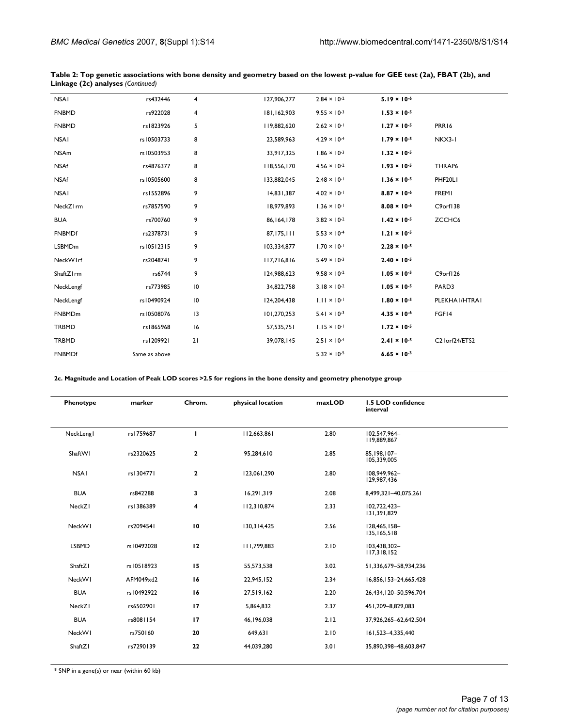| <b>NSAI</b>   | rs432446      | 4               | 127,906,277  | $2.84 \times 10^{-2}$ | $5.19 \times 10^{-6}$ |               |  |
|---------------|---------------|-----------------|--------------|-----------------------|-----------------------|---------------|--|
| <b>FNBMD</b>  | rs922028      | 4               | 181,162,903  | $9.55 \times 10^{-3}$ | $1.53 \times 10^{-5}$ |               |  |
| <b>FNBMD</b>  | rs1823926     | 5               | 119,882,620  | $2.62 \times 10^{-1}$ | $1.27 \times 10^{-5}$ | PRR16         |  |
| <b>NSAI</b>   | rs10503733    | 8               | 23,589,963   | $4.29 \times 10^{-4}$ | $1.79 \times 10^{-5}$ | NKX3-I        |  |
| <b>NSAm</b>   | rs10503953    | 8               | 33,917,325   | $1.86 \times 10^{-3}$ | $1.32 \times 10^{-5}$ |               |  |
| <b>NSAf</b>   | rs4876377     | 8               | 118,556,170  | $4.56 \times 10^{-2}$ | $1.93 \times 10^{-5}$ | THRAP6        |  |
| <b>NSAf</b>   | rs10505600    | 8               | 133,882,045  | $2.48 \times 10^{-1}$ | $1.36 \times 10^{-5}$ | PHF20LI       |  |
| <b>NSAI</b>   | rs1552896     | 9               | 14,831,387   | $4.02 \times 10^{-1}$ | $8.87 \times 10^{-6}$ | <b>FREMI</b>  |  |
| NeckZIrm      | rs7857590     | 9               | 18,979,893   | $1.36 \times 10^{-1}$ | $8.08 \times 10^{-6}$ | C9orf138      |  |
| <b>BUA</b>    | rs700760      | 9               | 86, 164, 178 | $3.82 \times 10^{-2}$ | $1.42 \times 10^{-5}$ | ZCCHC6        |  |
| <b>FNBMDf</b> | rs2378731     | 9               | 87,175,111   | $5.53 \times 10^{-4}$ | $1.21 \times 10^{-5}$ |               |  |
| <b>LSBMDm</b> | rs10512315    | 9               | 103,334,877  | $1.70 \times 10^{-1}$ | $2.28 \times 10^{-5}$ |               |  |
| NeckWIrf      | rs2048741     | 9               | 117,716,816  | $5.49 \times 10^{-3}$ | $2.40 \times 10^{-5}$ |               |  |
| ShaftZ1rm     | rs6744        | 9               | 124,988,623  | $9.58 \times 10^{-2}$ | $1.05 \times 10^{-5}$ | C9orf126      |  |
| NeckLengf     | rs773985      | 10              | 34,822,758   | $3.18 \times 10^{-2}$ | $1.05 \times 10^{-5}$ | PARD3         |  |
| NeckLengf     | rs10490924    | $\overline{10}$ | 124,204,438  | $1.11 \times 10^{-1}$ | $1.80 \times 10^{-5}$ | PLEKHAI/HTRAI |  |
| FNBMDm        | rs10508076    | 13              | 101,270,253  | $5.41 \times 10^{-3}$ | $4.35 \times 10^{-6}$ | FGF14         |  |
| TRBMD         | rs1865968     | 16              | 57,535,751   | $1.15 \times 10^{-1}$ | $1.72 \times 10^{-5}$ |               |  |
| TRBMD         | rs1209921     | 21              | 39,078,145   | $2.51 \times 10^{-4}$ | $2.41 \times 10^{-5}$ | C21orf24/ETS2 |  |
| <b>FNBMDf</b> | Same as above |                 |              | $5.32 \times 10^{-5}$ | $6.65 \times 10^{-3}$ |               |  |
|               |               |                 |              |                       |                       |               |  |

**Table 2: Top genetic associations with bone density and geometry based on the lowest p-value for GEE test (2a), FBAT (2b), and Linkage (2c) analyses** *(Continued)*

**2c. Magnitude and Location of Peak LOD scores >2.5 for regions in the bone density and geometry phenotype group**

| Phenotype    | marker     | Chrom.      | physical location | maxLOD | 1.5 LOD confidence<br>interval |
|--------------|------------|-------------|-------------------|--------|--------------------------------|
| NeckLengl    | rs1759687  | т           | 112,663,861       | 2.80   | 102.547.964-<br>119,889,867    |
| ShaftWI      | rs2320625  | $\mathbf 2$ | 95,284,610        | 2.85   | 85.198.107-<br>105,339,005     |
| <b>NSAI</b>  | rs1304771  | $\mathbf 2$ | 123,061,290       | 2.80   | 108.949.962-<br>129,987,436    |
| <b>BUA</b>   | rs842288   | 3           | 16,291,319        | 2.08   | 8,499,321-40,075,261           |
| NeckZI       | rs1386389  | 4           | 112,310,874       | 2.33   | 102.722.423-<br>131,391,829    |
| NeckWI       | rs2094541  | 10          | 130,314,425       | 2.56   | 128,465,158-<br>135,165,518    |
| <b>LSBMD</b> | rs10492028 | 12          | 111,799,883       | 2.10   | 103.438.302-<br>117,318,152    |
| ShaftZI      | rs10518923 | 15          | 55,573,538        | 3.02   | 51,336,679-58,934,236          |
| NeckWI       | AFM049xd2  | 16          | 22,945,152        | 2.34   | 16,856,153-24,665,428          |
| <b>BUA</b>   | rs10492922 | 16          | 27,519,162        | 2.20   | 26,434,120-50,596,704          |
| NeckZI       | rs6502901  | 17          | 5,864,832         | 2.37   | 451,209-8,829,083              |
| <b>BUA</b>   | rs8081154  | 17          | 46, 196, 038      | 2.12   | 37,926,265-62,642,504          |
| NeckWI       | rs750160   | 20          | 649,631           | 2.10   | 161,523-4,335,440              |
| ShaftZI      | rs7290139  | 22          | 44,039,280        | 3.01   | 35,890,398-48,603,847          |

\* SNP in a gene(s) or near (within 60 kb)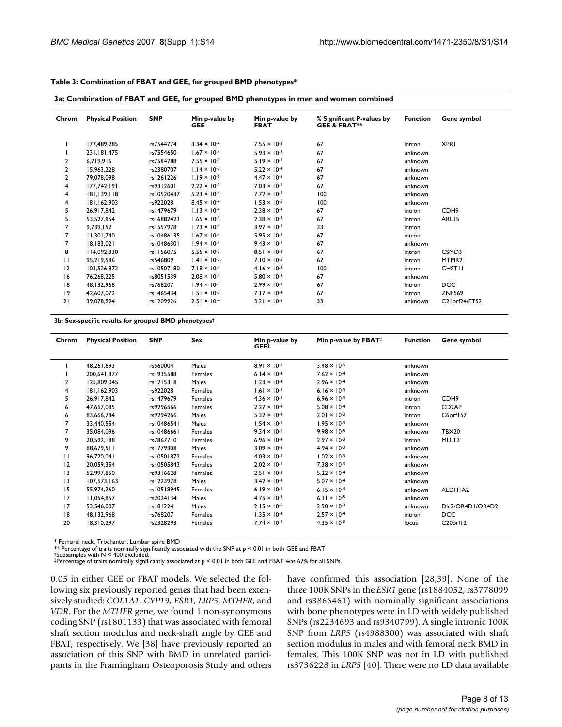| Chrom        | <b>Physical Position</b> | <b>SNP</b> | Min p-value by<br><b>GEE</b> | Min p-value by<br><b>FBAT</b> | % Significant P-values by<br><b>GEE &amp; FBAT**</b> | <b>Function</b> | Gene symbol                                         |
|--------------|--------------------------|------------|------------------------------|-------------------------------|------------------------------------------------------|-----------------|-----------------------------------------------------|
|              | 177,489,285              | rs7544774  | $3.34 \times 10^{-4}$        | $7.55 \times 10^{-3}$         | 67                                                   | intron          | <b>XPRI</b>                                         |
|              | 231.181.475              | rs7554650  | $1.67 \times 10^{-4}$        | $5.93 \times 10^{-3}$         | 67                                                   | unknown         |                                                     |
| 2            | 6,719,916                | rs7584788  | $7.55 \times 10^{-3}$        | $5.19 \times 10^{-4}$         | 67                                                   | unknown         |                                                     |
| 2            | 15,963,228               | rs2380707  | $1.14 \times 10^{-3}$        | $5.22 \times 10^{-4}$         | 67                                                   | unknown         |                                                     |
| 2            | 79,078,098               | rs1261226  | $1.19 \times 10^{-5}$        | $4.47 \times 10^{-3}$         | 67                                                   | unknown         |                                                     |
| 4            | 177.742.191              | rs9312601  | $2.22 \times 10^{-3}$        | $7.03 \times 10^{-4}$         | 67                                                   | unknown         |                                                     |
| 4            | 181.139.118              | rs10520437 | $5.23 \times 10^{-4}$        | $7.72 \times 10^{-5}$         | 100                                                  | unknown         |                                                     |
| 4            | 181,162,903              | rs922028   | $8.45 \times 10^{-4}$        | $1.53 \times 10^{-5}$         | 100                                                  | unknown         |                                                     |
| 5            | 26,917,842               | rs1479679  | $1.13 \times 10^{-4}$        | $2.38 \times 10^{-4}$         | 67                                                   | intron          | CDH <sub>9</sub>                                    |
| 5            | 53,527,854               | rs16882423 | $1.65 \times 10^{-3}$        | $2.38 \times 10^{-3}$         | 67                                                   | intron          | ARL15                                               |
| 7            | 9.739.152                | rs1557978  | $1.73 \times 10^{-4}$        | $3.97 \times 10^{-4}$         | 33                                                   | intron          |                                                     |
| 7            | 11,301,740               | rs10486135 | $1.67 \times 10^{-4}$        | $5.95 \times 10^{-4}$         | 67                                                   | intron          |                                                     |
| 7            | 18,183,021               | rs10486301 | $1.94 \times 10^{-4}$        | $9.43 \times 10^{-4}$         | 67                                                   | unknown         |                                                     |
| 8            | 114,092,330              | rs1156075  | $5.55 \times 10^{-3}$        | $8.51 \times 10^{-3}$         | 67                                                   | intron          | CSMD3                                               |
| $\mathbf{H}$ | 95.219.586               | rs546809   | $1.41 \times 10^{-3}$        | $7.10 \times 10^{-5}$         | 67                                                   | intron          | MTMR <sub>2</sub>                                   |
| 12           | 103,526,872              | rs10507180 | $7.18 \times 10^{-4}$        | $4.16 \times 10^{-3}$         | 100                                                  | intron          | <b>CHSTII</b>                                       |
| 16           | 76,268,225               | rs8051539  | $2.08 \times 10^{-3}$        | $5.80 \times 10^{-3}$         | 67                                                   | unknown         |                                                     |
| 18           | 48, 132, 968             | rs768207   | $1.94 \times 10^{-3}$        | $2.99 \times 10^{-3}$         | 67                                                   | intron          | DCC                                                 |
| 9            | 42.607.072               | rs1465434  | $1.51 \times 10^{-3}$        | $7.17 \times 10^{-4}$         | 67                                                   | intron          | <b>ZNF569</b>                                       |
| 21           | 39.078.994               | rs1209926  | $2.51 \times 10^{-4}$        | $3.21 \times 10^{-5}$         | 33                                                   | unknown         | C <sub>2</sub> lorf <sub>24</sub> /ETS <sub>2</sub> |

#### **Table 3: Combination of FBAT and GEE, for grouped BMD phenotypes\***

**3b: Sex-specific results for grouped BMD phenotypes†**

| Chrom        | <b>Physical Position</b> | <b>SNP</b> | Sex     | Min p-value by<br>$GEE^{\ddagger}$ | Min p-value by FBAT#            | <b>Function</b> | Gene symbol           |
|--------------|--------------------------|------------|---------|------------------------------------|---------------------------------|-----------------|-----------------------|
|              | 48, 261, 693             | rs560004   | Males   | $8.91 \times 10^{-4}$              | $3.48 \times 10^{-3}$           | unknown         |                       |
|              | 200,641,877              | rs1935588  | Females | 6.14 $\times$ 10 <sup>-4</sup>     | $7.62 \times 10^{-4}$           | unknown         |                       |
| $\mathbf{2}$ | 125,809,045              | rs1215318  | Males   | $1.23 \times 10^{-4}$              | $2.96 \times 10^{-4}$           | unknown         |                       |
| 4            | 181.162.903              | rs922028   | Females | $1.61 \times 10^{-4}$              | $6.16 \times 10^{-3}$           | unknown         |                       |
| 5            | 26,917,842               | rs1479679  | Females | $4.36 \times 10^{-5}$              | $6.96 \times 10^{-3}$           | intron          | CDH <sub>9</sub>      |
| 6            | 47,657,085               | rs9296566  | Females | $2.27 \times 10^{-4}$              | $5.08 \times 10^{-4}$           | intron          | CD <sub>2</sub> AP    |
| 6            | 83,666,784               | rs9294266  | Males   | $5.32 \times 10^{-4}$              | $2.01 \times 10^{-3}$           | intron          | C6orf157              |
| 7            | 33,440,554               | rs10486541 | Males   | $1.54 \times 10^{-5}$              | $1.95 \times 10^{-3}$           | unknown         |                       |
| 7            | 35.084.096               | rs10486661 | Females | $9.34 \times 10^{-6}$              | $9.98 \times 10^{-5}$           | unknown         | <b>TBX20</b>          |
| 9            | 20,592,188               | rs7867710  | Females | $6.96 \times 10^{-4}$              | $2.97 \times 10^{-3}$           | intron          | MLLT3                 |
| 9            | 88,679,511               | rs1779308  | Males   | $3.09 \times 10^{-3}$              | $4.94 \times 10^{-3}$           | unknown         |                       |
| $\mathbf{H}$ | 96,720,041               | rs10501872 | Females | $4.03 \times 10^{-4}$              | $1.02 \times 10^{-3}$           | unknown         |                       |
| 12           | 20,059,354               | rs10505843 | Females | $2.02 \times 10^{-4}$              | $7.38 \times 10^{-3}$           | unknown         |                       |
| 3            | 52.997.850               | rs9316628  | Females | $2.51 \times 10^{-3}$              | $5.22 \times 10^{-4}$           | unknown         |                       |
| 13           | 107,573,163              | rs1223978  | Males   | $3.42 \times 10^{-4}$              | $5.07 \times 10^{-4}$           | unknown         |                       |
| 15           | 55,974,260               | rs10518945 | Females | $6.19 \times 10^{-5}$              | $6.15 \times 10^{-4}$           | unknown         | ALDHIA2               |
| 17           | 11,054,857               | rs2024134  | Males   | $4.75 \times 10^{-3}$              | 6.3   $\times$ 10 <sup>-5</sup> | unknown         |                       |
| 17           | 53,546,007               | rs181224   | Males   | $2.15 \times 10^{-5}$              | $2.90 \times 10^{-3}$           | unknown         | DIc2/OR4D1/OR4D2      |
| 18           | 48, 132, 968             | rs768207   | Females | $1.35 \times 10^{-4}$              | $2.57 \times 10^{-4}$           | intron          | <b>DCC</b>            |
| 20           | 18,310,297               | rs2328293  | Females | $7.74 \times 10^{-4}$              | $4.35 \times 10^{-3}$           | locus           | C <sub>20</sub> orf12 |

\* Femoral neck, Trochanter, Lumbar spine BMD

 $*$  Percentage of traits nominally significantly associated with the SNP at  $p < 0.01$  in both GEE and FBAT <br>†Subsamples with N < 400 excluded.

‡Percentage of traits nominally significantly associated at p < 0.01 in both GEE and FBAT was 67% for all SNPs.

0.05 in either GEE or FBAT models. We selected the following six previously reported genes that had been extensively studied: *COL1A1, CYP19, ESR1, LRP5, MTHFR*, and *VDR*. For the *MTHFR* gene, we found 1 non-synonymous coding SNP (rs1801133) that was associated with femoral shaft section modulus and neck-shaft angle by GEE and FBAT, respectively. We [38] have previously reported an association of this SNP with BMD in unrelated participants in the Framingham Osteoporosis Study and others have confirmed this association [28,39]. None of the three 100K SNPs in the *ESR1* gene (rs1884052, rs3778099 and rs3866461) with nominally significant associations with bone phenotypes were in LD with widely published SNPs (rs2234693 and rs9340799). A single intronic 100K SNP from *LRP5* (rs4988300) was associated with shaft section modulus in males and with femoral neck BMD in females. This 100K SNP was not in LD with published rs3736228 in *LRP5* [40]. There were no LD data available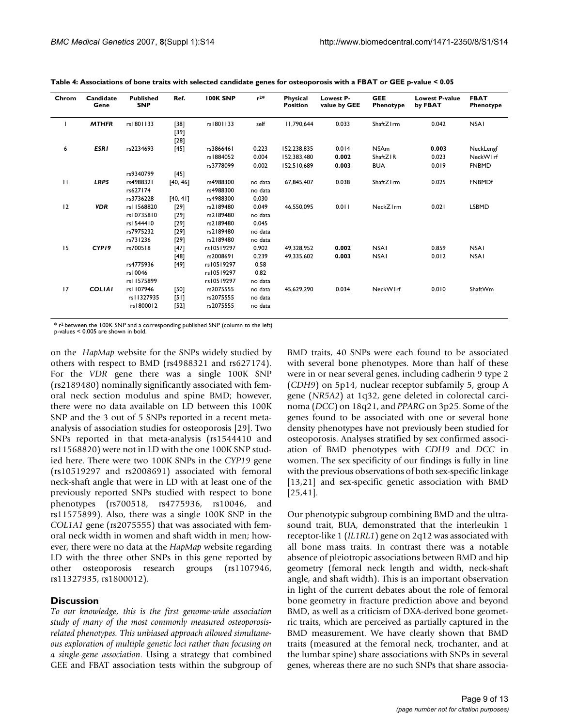|              |               |            |                            |            |         | <b>Position</b> | value by GEE | Phenotype             | by FBAT | Phenotype     |
|--------------|---------------|------------|----------------------------|------------|---------|-----------------|--------------|-----------------------|---------|---------------|
|              | <b>MTHFR</b>  | rs1801133  | $[38]$<br>$[39]$<br>$[28]$ | rs1801133  | self    | 11.790.644      | 0.033        | ShaftZ <sub>Irm</sub> | 0.042   | <b>NSAI</b>   |
| 6            | <b>ESRI</b>   | rs2234693  | $[45]$                     | rs3866461  | 0.223   | 152,238,835     | 0.014        | <b>NSAm</b>           | 0.003   | NeckLengf     |
|              |               |            |                            | rs1884052  | 0.004   | 152.383.480     | 0.002        | ShaftZIR              | 0.023   | NeckWIrf      |
|              |               |            |                            | rs3778099  | 0.002   | 152.510.689     | 0.003        | <b>BUA</b>            | 0.019   | <b>FNBMD</b>  |
|              |               | rs9340799  | $[45]$                     |            |         |                 |              |                       |         |               |
| $\mathbf{H}$ | LRP5          | rs4988321  | [40, 46]                   | rs4988300  | no data | 67.845.407      | 0.038        | ShaftZIrm             | 0.025   | <b>FNBMDf</b> |
|              |               | rs627174   |                            | rs4988300  | no data |                 |              |                       |         |               |
|              |               | rs3736228  | [40, 41]                   | rs4988300  | 0.030   |                 |              |                       |         |               |
| 12           | <b>VDR</b>    | rs11568820 | $[29]$                     | rs2189480  | 0.049   | 46.550.095      | 0.011        | NeckZIrm              | 0.021   | <b>LSBMD</b>  |
|              |               | rs10735810 | $[29]$                     | rs2189480  | no data |                 |              |                       |         |               |
|              |               | rs1544410  | $[29]$                     | rs2189480  | 0.045   |                 |              |                       |         |               |
|              |               | rs7975232  | $[29]$                     | rs2189480  | no data |                 |              |                       |         |               |
|              |               | rs731236   | $[29]$                     | rs2189480  | no data |                 |              |                       |         |               |
| 15           | CYP19         | rs700518   | $[47]$                     | rs10519297 | 0.902   | 49.328.952      | 0.002        | <b>NSAI</b>           | 0.859   | <b>NSAI</b>   |
|              |               |            | $[48]$                     | rs2008691  | 0.239   | 49.335.602      | 0.003        | <b>NSAI</b>           | 0.012   | <b>NSAI</b>   |
|              |               | rs4775936  | $[49]$                     | rs10519297 | 0.58    |                 |              |                       |         |               |
|              |               | rs10046    |                            | rs10519297 | 0.82    |                 |              |                       |         |               |
|              |               | rs11575899 |                            | rs10519297 | no data |                 |              |                       |         |               |
| 17           | <b>COLIAI</b> | rs1107946  | [50]                       | rs2075555  | no data | 45,629,290      | 0.034        | NeckWIrf              | 0.010   | ShaftWm       |
|              |               | rs11327935 | [51]                       | rs2075555  | no data |                 |              |                       |         |               |
|              |               | rs1800012  | $[52]$                     | rs2075555  | no data |                 |              |                       |         |               |

**Table 4: Associations of bone traits with selected candidate genes for osteoporosis with a FBAT or GEE p-value < 0.05**

\* r2 between the 100K SNP and a corresponding published SNP (column to the left) p-values < 0.005 are shown in bold.

on the *HapMap* website for the SNPs widely studied by others with respect to BMD (rs4988321 and rs627174). For the *VDR* gene there was a single 100K SNP (rs2189480) nominally significantly associated with femoral neck section modulus and spine BMD; however, there were no data available on LD between this 100K SNP and the 3 out of 5 SNPs reported in a recent metaanalysis of association studies for osteoporosis [29]. Two SNPs reported in that meta-analysis (rs1544410 and rs11568820) were not in LD with the one 100K SNP studied here. There were two 100K SNPs in the *CYP19* gene (rs10519297 and rs2008691) associated with femoral neck-shaft angle that were in LD with at least one of the previously reported SNPs studied with respect to bone phenotypes (rs700518, rs4775936, rs10046, and rs11575899). Also, there was a single 100K SNP in the *COL1A1* gene (rs2075555) that was associated with femoral neck width in women and shaft width in men; however, there were no data at the *HapMap* website regarding LD with the three other SNPs in this gene reported by other osteoporosis research groups (rs1107946, rs11327935, rs1800012).

#### **Discussion**

*To our knowledge, this is the first genome-wide association study of many of the most commonly measured osteoporosisrelated phenotypes. This unbiased approach allowed simultaneous exploration of multiple genetic loci rather than focusing on a single-gene association*. Using a strategy that combined GEE and FBAT association tests within the subgroup of BMD traits, 40 SNPs were each found to be associated with several bone phenotypes. More than half of these were in or near several genes, including cadherin 9 type 2 (*CDH9*) on 5p14, nuclear receptor subfamily 5, group A gene (*NR5A2*) at 1q32, gene deleted in colorectal carcinoma (*DCC*) on 18q21, and *PPARG* on 3p25. Some of the genes found to be associated with one or several bone density phenotypes have not previously been studied for osteoporosis. Analyses stratified by sex confirmed association of BMD phenotypes with *CDH9* and *DCC* in women. The sex specificity of our findings is fully in line with the previous observations of both sex-specific linkage [13,21] and sex-specific genetic association with BMD [25,41].

Our phenotypic subgroup combining BMD and the ultrasound trait, BUA, demonstrated that the interleukin 1 receptor-like 1 (*IL1RL1*) gene on 2q12 was associated with all bone mass traits. In contrast there was a notable absence of pleiotropic associations between BMD and hip geometry (femoral neck length and width, neck-shaft angle, and shaft width). This is an important observation in light of the current debates about the role of femoral bone geometry in fracture prediction above and beyond BMD, as well as a criticism of DXA-derived bone geometric traits, which are perceived as partially captured in the BMD measurement. We have clearly shown that BMD traits (measured at the femoral neck, trochanter, and at the lumbar spine) share associations with SNPs in several genes, whereas there are no such SNPs that share associa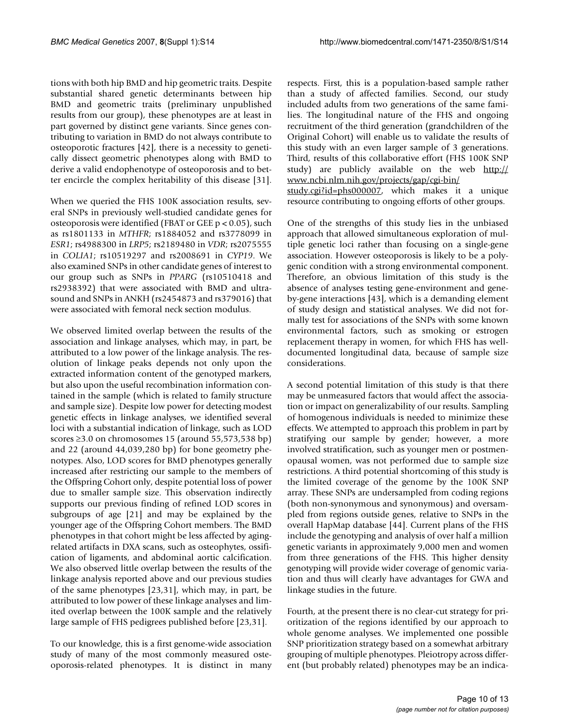tions with both hip BMD and hip geometric traits. Despite substantial shared genetic determinants between hip BMD and geometric traits (preliminary unpublished results from our group), these phenotypes are at least in part governed by distinct gene variants. Since genes contributing to variation in BMD do not always contribute to osteoporotic fractures [42], there is a necessity to genetically dissect geometric phenotypes along with BMD to derive a valid endophenotype of osteoporosis and to better encircle the complex heritability of this disease [31].

When we queried the FHS 100K association results, several SNPs in previously well-studied candidate genes for osteoporosis were identified (FBAT or GEE p < 0.05), such as rs1801133 in *MTHFR*; rs1884052 and rs3778099 in *ESR1*; rs4988300 in *LRP5*; rs2189480 in *VDR*; rs2075555 in *COLIA1*; rs10519297 and rs2008691 in *CYP19*. We also examined SNPs in other candidate genes of interest to our group such as SNPs in *PPARG* (rs10510418 and rs2938392) that were associated with BMD and ultrasound and SNPs in ANKH (rs2454873 and rs379016) that were associated with femoral neck section modulus.

We observed limited overlap between the results of the association and linkage analyses, which may, in part, be attributed to a low power of the linkage analysis. The resolution of linkage peaks depends not only upon the extracted information content of the genotyped markers, but also upon the useful recombination information contained in the sample (which is related to family structure and sample size). Despite low power for detecting modest genetic effects in linkage analyses, we identified several loci with a substantial indication of linkage, such as LOD scores ≥3.0 on chromosomes 15 (around 55,573,538 bp) and 22 (around 44,039,280 bp) for bone geometry phenotypes. Also, LOD scores for BMD phenotypes generally increased after restricting our sample to the members of the Offspring Cohort only, despite potential loss of power due to smaller sample size. This observation indirectly supports our previous finding of refined LOD scores in subgroups of age [21] and may be explained by the younger age of the Offspring Cohort members. The BMD phenotypes in that cohort might be less affected by agingrelated artifacts in DXA scans, such as osteophytes, ossification of ligaments, and abdominal aortic calcification. We also observed little overlap between the results of the linkage analysis reported above and our previous studies of the same phenotypes [23,31], which may, in part, be attributed to low power of these linkage analyses and limited overlap between the 100K sample and the relatively large sample of FHS pedigrees published before [23,31].

To our knowledge, this is a first genome-wide association study of many of the most commonly measured osteoporosis-related phenotypes. It is distinct in many respects. First, this is a population-based sample rather than a study of affected families. Second, our study included adults from two generations of the same families. The longitudinal nature of the FHS and ongoing recruitment of the third generation (grandchildren of the Original Cohort) will enable us to validate the results of this study with an even larger sample of 3 generations. Third, results of this collaborative effort (FHS 100K SNP study) are publicly available on the web [http://](http://www.ncbi.nlm.nih.gov/projects/gap/cgi-bin/study.cgi?id=phs000007) [www.ncbi.nlm.nih.gov/projects/gap/cgi-bin/](http://www.ncbi.nlm.nih.gov/projects/gap/cgi-bin/study.cgi?id=phs000007) [study.cgi?id=phs000007](http://www.ncbi.nlm.nih.gov/projects/gap/cgi-bin/study.cgi?id=phs000007), which makes it a unique resource contributing to ongoing efforts of other groups.

One of the strengths of this study lies in the unbiased approach that allowed simultaneous exploration of multiple genetic loci rather than focusing on a single-gene association. However osteoporosis is likely to be a polygenic condition with a strong environmental component. Therefore, an obvious limitation of this study is the absence of analyses testing gene-environment and geneby-gene interactions [43], which is a demanding element of study design and statistical analyses. We did not formally test for associations of the SNPs with some known environmental factors, such as smoking or estrogen replacement therapy in women, for which FHS has welldocumented longitudinal data, because of sample size considerations.

A second potential limitation of this study is that there may be unmeasured factors that would affect the association or impact on generalizability of our results. Sampling of homogenous individuals is needed to minimize these effects. We attempted to approach this problem in part by stratifying our sample by gender; however, a more involved stratification, such as younger men or postmenopausal women, was not performed due to sample size restrictions. A third potential shortcoming of this study is the limited coverage of the genome by the 100K SNP array. These SNPs are undersampled from coding regions (both non-synonymous and synonymous) and oversampled from regions outside genes, relative to SNPs in the overall HapMap database [44]. Current plans of the FHS include the genotyping and analysis of over half a million genetic variants in approximately 9,000 men and women from three generations of the FHS. This higher density genotyping will provide wider coverage of genomic variation and thus will clearly have advantages for GWA and linkage studies in the future.

Fourth, at the present there is no clear-cut strategy for prioritization of the regions identified by our approach to whole genome analyses. We implemented one possible SNP prioritization strategy based on a somewhat arbitrary grouping of multiple phenotypes. Pleiotropy across different (but probably related) phenotypes may be an indica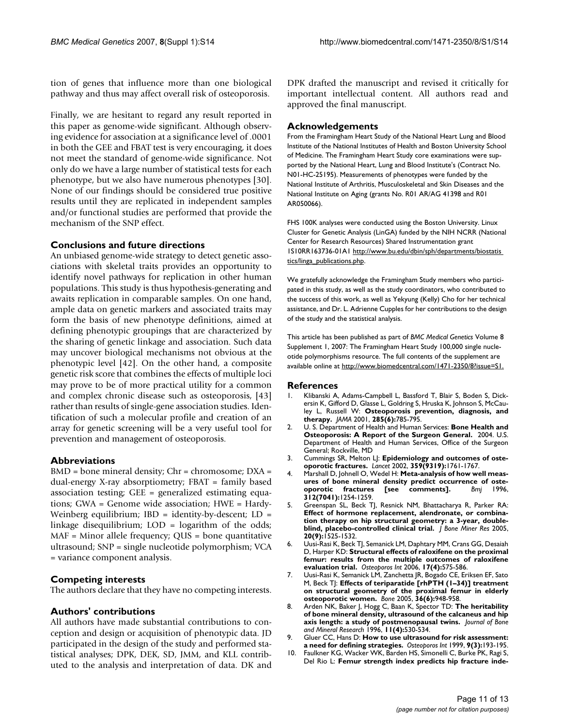tion of genes that influence more than one biological pathway and thus may affect overall risk of osteoporosis.

Finally, we are hesitant to regard any result reported in this paper as genome-wide significant. Although observing evidence for association at a significance level of .0001 in both the GEE and FBAT test is very encouraging, it does not meet the standard of genome-wide significance. Not only do we have a large number of statistical tests for each phenotype, but we also have numerous phenotypes [30]. None of our findings should be considered true positive results until they are replicated in independent samples and/or functional studies are performed that provide the mechanism of the SNP effect.

#### **Conclusions and future directions**

An unbiased genome-wide strategy to detect genetic associations with skeletal traits provides an opportunity to identify novel pathways for replication in other human populations. This study is thus hypothesis-generating and awaits replication in comparable samples. On one hand, ample data on genetic markers and associated traits may form the basis of new phenotype definitions, aimed at defining phenotypic groupings that are characterized by the sharing of genetic linkage and association. Such data may uncover biological mechanisms not obvious at the phenotypic level [42]. On the other hand, a composite genetic risk score that combines the effects of multiple loci may prove to be of more practical utility for a common and complex chronic disease such as osteoporosis, [43] rather than results of single-gene association studies. Identification of such a molecular profile and creation of an array for genetic screening will be a very useful tool for prevention and management of osteoporosis.

### **Abbreviations**

BMD = bone mineral density; Chr = chromosome; DXA = dual-energy X-ray absorptiometry; FBAT = family based association testing; GEE = generalized estimating equations; GWA = Genome wide association; HWE = Hardy-Weinberg equilibrium;  $IBD = identity-by-descent; LD =$ linkage disequilibrium; LOD = logarithm of the odds; MAF = Minor allele frequency; QUS = bone quantitative ultrasound; SNP = single nucleotide polymorphism; VCA = variance component analysis.

#### **Competing interests**

The authors declare that they have no competing interests.

### **Authors' contributions**

All authors have made substantial contributions to conception and design or acquisition of phenotypic data. JD participated in the design of the study and performed statistical analyses; DPK, DEK, SD, JMM, and KLL contributed to the analysis and interpretation of data. DK and DPK drafted the manuscript and revised it critically for important intellectual content. All authors read and approved the final manuscript.

#### **Acknowledgements**

From the Framingham Heart Study of the National Heart Lung and Blood Institute of the National Institutes of Health and Boston University School of Medicine. The Framingham Heart Study core examinations were supported by the National Heart, Lung and Blood Institute's (Contract No. N01-HC-25195). Measurements of phenotypes were funded by the National Institute of Arthritis, Musculoskeletal and Skin Diseases and the National Institute on Aging (grants No. R01 AR/AG 41398 and R01 AR050066).

FHS 100K analyses were conducted using the Boston University. Linux Cluster for Genetic Analysis (LinGA) funded by the NIH NCRR (National Center for Research Resources) Shared Instrumentation grant 1S10RR163736-01A1 [http://www.bu.edu/dbin/sph/departments/biostatis](http://www.bu.edu/dbin/sph/departments/biostatistics/linga_publications.php)  [tics/linga\\_publications.php.](http://www.bu.edu/dbin/sph/departments/biostatistics/linga_publications.php)

We gratefully acknowledge the Framingham Study members who participated in this study, as well as the study coordinators, who contributed to the success of this work, as well as Yekyung (Kelly) Cho for her technical assistance, and Dr. L. Adrienne Cupples for her contributions to the design of the study and the statistical analysis.

This article has been published as part of *BMC Medical Genetics* Volume 8 Supplement 1, 2007: The Framingham Heart Study 100,000 single nucleotide polymorphisms resource. The full contents of the supplement are available online at<http://www.biomedcentral.com/1471-2350/8?issue=S1.>

#### **References**

- 1. Klibanski A, Adams-Campbell L, Bassford T, Blair S, Boden S, Dickersin K, Gifford D, Glasse L, Goldring S, Hruska K, Johnson S, McCauley L, Russell W: **[Osteoporosis prevention, diagnosis, and](http://www.ncbi.nlm.nih.gov/entrez/query.fcgi?cmd=Retrieve&db=PubMed&dopt=Abstract&list_uids=11176917) [therapy.](http://www.ncbi.nlm.nih.gov/entrez/query.fcgi?cmd=Retrieve&db=PubMed&dopt=Abstract&list_uids=11176917)** *JAMA* 2001, **285(6):**785-795.
- 2. U. S. Department of Health and Human Services: **Bone Health and Osteoporosis: A Report of the Surgeon General.** 2004. U.S. Department of Health and Human Services, Office of the Surgeon General; Rockville, MD
- 3. Cummings SR, Melton LJ: **[Epidemiology and outcomes of oste](http://www.ncbi.nlm.nih.gov/entrez/query.fcgi?cmd=Retrieve&db=PubMed&dopt=Abstract&list_uids=12049882)[oporotic fractures.](http://www.ncbi.nlm.nih.gov/entrez/query.fcgi?cmd=Retrieve&db=PubMed&dopt=Abstract&list_uids=12049882)** *Lancet* 2002, **359(9319):**1761-1767.
- Marshall D, Johnell O, Wedel H: [Meta-analysis of how well meas](http://www.ncbi.nlm.nih.gov/entrez/query.fcgi?cmd=Retrieve&db=PubMed&dopt=Abstract&list_uids=8634613)ures of bone mineral density predict occurrence of oste-<br>oporotic fractures [see comments]. **Bmj** 1996,  $\Phi$  oporotic fractures **312(7041):**1254-1259.
- 5. Greenspan SL, Beck TJ, Resnick NM, Bhattacharya R, Parker RA: **[Effect of hormone replacement, alendronate, or combina](http://www.ncbi.nlm.nih.gov/entrez/query.fcgi?cmd=Retrieve&db=PubMed&dopt=Abstract&list_uids=16059624)tion therapy on hip structural geometry: a 3-year, double[blind, placebo-controlled clinical trial.](http://www.ncbi.nlm.nih.gov/entrez/query.fcgi?cmd=Retrieve&db=PubMed&dopt=Abstract&list_uids=16059624)** *J Bone Miner Res* 2005, **20(9):**1525-1532.
- 6. Uusi-Rasi K, Beck TJ, Semanick LM, Daphtary MM, Crans GG, Desaiah D, Harper KD: **[Structural effects of raloxifene on the proximal](http://www.ncbi.nlm.nih.gov/entrez/query.fcgi?cmd=Retrieve&db=PubMed&dopt=Abstract&list_uids=16392026) [femur: results from the multiple outcomes of raloxifene](http://www.ncbi.nlm.nih.gov/entrez/query.fcgi?cmd=Retrieve&db=PubMed&dopt=Abstract&list_uids=16392026) [evaluation trial.](http://www.ncbi.nlm.nih.gov/entrez/query.fcgi?cmd=Retrieve&db=PubMed&dopt=Abstract&list_uids=16392026)** *Osteoporos Int* 2006, **17(4):**575-586.
- 7. Uusi-Rasi K, Semanick LM, Zanchetta JR, Bogado CE, Eriksen EF, Sato M, Beck TJ: **[Effects of teriparatide \[rhPTH \(1–34\)\] treatment](http://www.ncbi.nlm.nih.gov/entrez/query.fcgi?cmd=Retrieve&db=PubMed&dopt=Abstract&list_uids=15878318) [on structural geometry of the proximal femur in elderly](http://www.ncbi.nlm.nih.gov/entrez/query.fcgi?cmd=Retrieve&db=PubMed&dopt=Abstract&list_uids=15878318) [osteoporotic women.](http://www.ncbi.nlm.nih.gov/entrez/query.fcgi?cmd=Retrieve&db=PubMed&dopt=Abstract&list_uids=15878318)** *Bone* 2005, **36(6):**948-958.
- 8. Arden NK, Baker J, Hogg C, Baan K, Spector TD: **The heritability of bone mineral density, ultrasound of the calcaneus and hip axis length: a study of postmenopausal twins.** *Journal of Bone and Mineral Research* 1996, **11(4):**530-534.
- 9. Gluer CC, Hans D: **[How to use ultrasound for risk assessment:](http://www.ncbi.nlm.nih.gov/entrez/query.fcgi?cmd=Retrieve&db=PubMed&dopt=Abstract&list_uids=10450405) [a need for defining strategies.](http://www.ncbi.nlm.nih.gov/entrez/query.fcgi?cmd=Retrieve&db=PubMed&dopt=Abstract&list_uids=10450405)** *Osteoporos Int* 1999, **9(3):**193-195.
- 10. Faulkner KG, Wacker WK, Barden HS, Simonelli C, Burke PK, Ragi S, Del Rio L: **[Femur strength index predicts hip fracture inde](http://www.ncbi.nlm.nih.gov/entrez/query.fcgi?cmd=Retrieve&db=PubMed&dopt=Abstract&list_uids=16447009)-**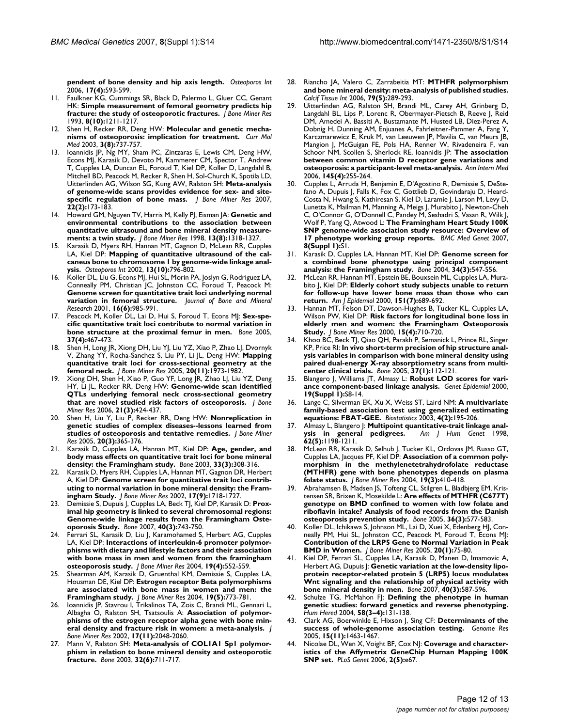**[pendent of bone density and hip axis length.](http://www.ncbi.nlm.nih.gov/entrez/query.fcgi?cmd=Retrieve&db=PubMed&dopt=Abstract&list_uids=16447009)** *Osteoporos Int* 2006, **17(4):**593-599.

- 11. Faulkner KG, Cummings SR, Black D, Palermo L, Gluer CC, Genant HK: **[Simple measurement of femoral geometry predicts hip](http://www.ncbi.nlm.nih.gov/entrez/query.fcgi?cmd=Retrieve&db=PubMed&dopt=Abstract&list_uids=8256658) [fracture: the study of osteoporotic fractures.](http://www.ncbi.nlm.nih.gov/entrez/query.fcgi?cmd=Retrieve&db=PubMed&dopt=Abstract&list_uids=8256658)** *J Bone Miner Res* 1993, **8(10):**1211-1217.
- 12. Shen H, Recker RR, Deng HW: **[Molecular and genetic mecha](http://www.ncbi.nlm.nih.gov/entrez/query.fcgi?cmd=Retrieve&db=PubMed&dopt=Abstract&list_uids=14682495)[nisms of osteoporosis: implication for treatment.](http://www.ncbi.nlm.nih.gov/entrez/query.fcgi?cmd=Retrieve&db=PubMed&dopt=Abstract&list_uids=14682495)** *Curr Mol Med* 2003, **3(8):**737-757.
- 13. Ioannidis JP, Ng MY, Sham PC, Zintzaras E, Lewis CM, Deng HW, Econs MJ, Karasik D, Devoto M, Kammerer CM, Spector T, Andrew T, Cupples LA, Duncan EL, Foroud T, Kiel DP, Koller D, Langdahl B, Mitchell BD, Peacock M, Recker R, Shen H, Sol-Church K, Spotila LD, Uitterlinden AG, Wilson SG, Kung AW, Ralston SH: **[Meta-analysis](http://www.ncbi.nlm.nih.gov/entrez/query.fcgi?cmd=Retrieve&db=PubMed&dopt=Abstract&list_uids=17228994) [of genome-wide scans provides evidence for sex- and site](http://www.ncbi.nlm.nih.gov/entrez/query.fcgi?cmd=Retrieve&db=PubMed&dopt=Abstract&list_uids=17228994)[specific regulation of bone mass.](http://www.ncbi.nlm.nih.gov/entrez/query.fcgi?cmd=Retrieve&db=PubMed&dopt=Abstract&list_uids=17228994)** *J Bone Miner Res* 2007, **22(2):**173-183.
- 14. Howard GM, Nguyen TV, Harris M, Kelly PJ, Eisman JA: **[Genetic and](http://www.ncbi.nlm.nih.gov/entrez/query.fcgi?cmd=Retrieve&db=PubMed&dopt=Abstract&list_uids=9718201) [environmental contributions to the association between](http://www.ncbi.nlm.nih.gov/entrez/query.fcgi?cmd=Retrieve&db=PubMed&dopt=Abstract&list_uids=9718201) quantitative ultrasound and bone mineral density measure[ments: a twin study.](http://www.ncbi.nlm.nih.gov/entrez/query.fcgi?cmd=Retrieve&db=PubMed&dopt=Abstract&list_uids=9718201)** *J Bone Miner Res* 1998, **13(8):**1318-1327.
- 15. Karasik D, Myers RH, Hannan MT, Gagnon D, McLean RR, Cupples LA, Kiel DP: **[Mapping of quantitative ultrasound of the cal](http://www.ncbi.nlm.nih.gov/entrez/query.fcgi?cmd=Retrieve&db=PubMed&dopt=Abstract&list_uids=12378368)[caneus bone to chromosome 1 by genome-wide linkage anal](http://www.ncbi.nlm.nih.gov/entrez/query.fcgi?cmd=Retrieve&db=PubMed&dopt=Abstract&list_uids=12378368)[ysis.](http://www.ncbi.nlm.nih.gov/entrez/query.fcgi?cmd=Retrieve&db=PubMed&dopt=Abstract&list_uids=12378368)** *Osteoporos Int* 2002, **13(10):**796-802.
- 16. Koller DL, Liu G, Econs MJ, Hui SL, Morin PA, Joslyn G, Rodriguez LA, Conneally PM, Christian JC, Johnston CC, Foroud T, Peacock M: **Genome screen for quantitative trait loci underlying normal variation in femoral structure.** *Journal of Bone and Mineral Research* 2001, **16(6):**985-991.
- 17. Peacock M, Koller DL, Lai D, Hui S, Foroud T, Econs MJ: **[Sex-spe](http://www.ncbi.nlm.nih.gov/entrez/query.fcgi?cmd=Retrieve&db=PubMed&dopt=Abstract&list_uids=16046210)[cific quantitative trait loci contribute to normal variation in](http://www.ncbi.nlm.nih.gov/entrez/query.fcgi?cmd=Retrieve&db=PubMed&dopt=Abstract&list_uids=16046210) [bone structure at the proximal femur in men.](http://www.ncbi.nlm.nih.gov/entrez/query.fcgi?cmd=Retrieve&db=PubMed&dopt=Abstract&list_uids=16046210)** *Bone* 2005, **37(4):**467-473.
- 18. Shen H, Long JR, Xiong DH, Liu YJ, Liu YZ, Xiao P, Zhao LJ, Dvornyk V, Zhang YY, Rocha-Sanchez S, Liu PY, Li JL, Deng HW: **[Mapping](http://www.ncbi.nlm.nih.gov/entrez/query.fcgi?cmd=Retrieve&db=PubMed&dopt=Abstract&list_uids=16234971) [quantitative trait loci for cross-sectional geometry at the](http://www.ncbi.nlm.nih.gov/entrez/query.fcgi?cmd=Retrieve&db=PubMed&dopt=Abstract&list_uids=16234971) [femoral neck.](http://www.ncbi.nlm.nih.gov/entrez/query.fcgi?cmd=Retrieve&db=PubMed&dopt=Abstract&list_uids=16234971)** *J Bone Miner Res* 2005, **20(11):**1973-1982.
- 19. Xiong DH, Shen H, Xiao P, Guo YF, Long JR, Zhao LJ, Liu YZ, Deng HY, Li JL, Recker RR, Deng HW: **[Genome-wide scan identified](http://www.ncbi.nlm.nih.gov/entrez/query.fcgi?cmd=Retrieve&db=PubMed&dopt=Abstract&list_uids=16491291) [QTLs underlying femoral neck cross-sectional geometry](http://www.ncbi.nlm.nih.gov/entrez/query.fcgi?cmd=Retrieve&db=PubMed&dopt=Abstract&list_uids=16491291) [that are novel studied risk factors of osteoporosis.](http://www.ncbi.nlm.nih.gov/entrez/query.fcgi?cmd=Retrieve&db=PubMed&dopt=Abstract&list_uids=16491291)** *J Bone Miner Res* 2006, **21(3):**424-437.
- 20. Shen H, Liu Y, Liu P, Recker RR, Deng HW: **[Nonreplication in](http://www.ncbi.nlm.nih.gov/entrez/query.fcgi?cmd=Retrieve&db=PubMed&dopt=Abstract&list_uids=15746981) [genetic studies of complex diseases--lessons learned from](http://www.ncbi.nlm.nih.gov/entrez/query.fcgi?cmd=Retrieve&db=PubMed&dopt=Abstract&list_uids=15746981) [studies of osteoporosis and tentative remedies.](http://www.ncbi.nlm.nih.gov/entrez/query.fcgi?cmd=Retrieve&db=PubMed&dopt=Abstract&list_uids=15746981)** *J Bone Miner Res* 2005, **20(3):**365-376.
- 21. Karasik D, Cupples LA, Hannan MT, Kiel DP: **[Age, gender, and](http://www.ncbi.nlm.nih.gov/entrez/query.fcgi?cmd=Retrieve&db=PubMed&dopt=Abstract&list_uids=13678771) [body mass effects on quantitative trait loci for bone mineral](http://www.ncbi.nlm.nih.gov/entrez/query.fcgi?cmd=Retrieve&db=PubMed&dopt=Abstract&list_uids=13678771) [density: the Framingham study.](http://www.ncbi.nlm.nih.gov/entrez/query.fcgi?cmd=Retrieve&db=PubMed&dopt=Abstract&list_uids=13678771)** *Bone* 2003, **33(3):**308-316.
- 22. Karasik D, Myers RH, Cupples LA, Hannan MT, Gagnon DR, Herbert A, Kiel DP: **[Genome screen for quantitative trait loci contrib](http://www.ncbi.nlm.nih.gov/entrez/query.fcgi?cmd=Retrieve&db=PubMed&dopt=Abstract&list_uids=12211443)[uting to normal variation in bone mineral density: the Fram](http://www.ncbi.nlm.nih.gov/entrez/query.fcgi?cmd=Retrieve&db=PubMed&dopt=Abstract&list_uids=12211443)[ingham Study.](http://www.ncbi.nlm.nih.gov/entrez/query.fcgi?cmd=Retrieve&db=PubMed&dopt=Abstract&list_uids=12211443)** *J Bone Miner Res* 2002, **17(9):**1718-1727.
- 23. Demissie S, Dupuis J, Cupples LA, Beck TJ, Kiel DP, Karasik D: **[Prox](http://www.ncbi.nlm.nih.gov/entrez/query.fcgi?cmd=Retrieve&db=PubMed&dopt=Abstract&list_uids=17079199)[imal hip geometry is linked to several chromosomal regions:](http://www.ncbi.nlm.nih.gov/entrez/query.fcgi?cmd=Retrieve&db=PubMed&dopt=Abstract&list_uids=17079199) Genome-wide linkage results from the Framingham Oste[oporosis Study.](http://www.ncbi.nlm.nih.gov/entrez/query.fcgi?cmd=Retrieve&db=PubMed&dopt=Abstract&list_uids=17079199)** *Bone* 2007, **40(3):**743-750.
- 24. Ferrari SL, Karasik D, Liu J, Karamohamed S, Herbert AG, Cupples LA, Kiel DP: **[Interactions of interleukin-6 promoter polymor](http://www.ncbi.nlm.nih.gov/entrez/query.fcgi?cmd=Retrieve&db=PubMed&dopt=Abstract&list_uids=15005841)[phisms with dietary and lifestyle factors and their association](http://www.ncbi.nlm.nih.gov/entrez/query.fcgi?cmd=Retrieve&db=PubMed&dopt=Abstract&list_uids=15005841) with bone mass in men and women from the framingham [osteoporosis study.](http://www.ncbi.nlm.nih.gov/entrez/query.fcgi?cmd=Retrieve&db=PubMed&dopt=Abstract&list_uids=15005841)** *J Bone Miner Res* 2004, **19(4):**552-559.
- 25. Shearman AM, Karasik D, Gruenthal KM, Demissie S, Cupples LA, Housman DE, Kiel DP: **[Estrogen receptor Beta polymorphisms](http://www.ncbi.nlm.nih.gov/entrez/query.fcgi?cmd=Retrieve&db=PubMed&dopt=Abstract&list_uids=15068501) [are associated with bone mass in women and men: the](http://www.ncbi.nlm.nih.gov/entrez/query.fcgi?cmd=Retrieve&db=PubMed&dopt=Abstract&list_uids=15068501) [Framingham study.](http://www.ncbi.nlm.nih.gov/entrez/query.fcgi?cmd=Retrieve&db=PubMed&dopt=Abstract&list_uids=15068501)** *J Bone Miner Res* 2004, **19(5):**773-781.
- 26. Ioannidis JP, Stavrou I, Trikalinos TA, Zois C, Brandi ML, Gennari L, Albagha O, Ralston SH, Tsatsoulis A: **[Association of polymor](http://www.ncbi.nlm.nih.gov/entrez/query.fcgi?cmd=Retrieve&db=PubMed&dopt=Abstract&list_uids=12412813)[phisms of the estrogen receptor alpha gene with bone min](http://www.ncbi.nlm.nih.gov/entrez/query.fcgi?cmd=Retrieve&db=PubMed&dopt=Abstract&list_uids=12412813)[eral density and fracture risk in women: a meta-analysis.](http://www.ncbi.nlm.nih.gov/entrez/query.fcgi?cmd=Retrieve&db=PubMed&dopt=Abstract&list_uids=12412813)** *J Bone Miner Res* 2002, **17(11):**2048-2060.
- 27. Mann V, Ralston SH: **[Meta-analysis of COL1A1 Sp1 polymor](http://www.ncbi.nlm.nih.gov/entrez/query.fcgi?cmd=Retrieve&db=PubMed&dopt=Abstract&list_uids=12810179)[phism in relation to bone mineral density and osteoporotic](http://www.ncbi.nlm.nih.gov/entrez/query.fcgi?cmd=Retrieve&db=PubMed&dopt=Abstract&list_uids=12810179) [fracture.](http://www.ncbi.nlm.nih.gov/entrez/query.fcgi?cmd=Retrieve&db=PubMed&dopt=Abstract&list_uids=12810179)** *Bone* 2003, **32(6):**711-717.
- 28. Riancho JA, Valero C, Zarrabeitia MT: **[MTHFR polymorphism](http://www.ncbi.nlm.nih.gov/entrez/query.fcgi?cmd=Retrieve&db=PubMed&dopt=Abstract&list_uids=17115239) [and bone mineral density: meta-analysis of published studies.](http://www.ncbi.nlm.nih.gov/entrez/query.fcgi?cmd=Retrieve&db=PubMed&dopt=Abstract&list_uids=17115239)** *Calcif Tissue Int* 2006, **79(5):**289-293.
- 29. Uitterlinden AG, Ralston SH, Brandi ML, Carey AH, Grinberg D, Langdahl BL, Lips P, Lorenc R, Obermayer-Pietsch B, Reeve J, Reid DM, Amedei A, Bassiti A, Bustamante M, Husted LB, Diez-Perez A, Dobnig H, Dunning AM, Enjuanes A, Fahrleitner-Pammer A, Fang Y, Karczmarewicz E, Kruk M, van Leeuwen JP, Mavilia C, van Meurs JB, Mangion J, McGuigan FE, Pols HA, Renner W, Rivadeneira F, van Schoor NM, Scollen S, Sherlock RE, Ioannidis JP: **[The association](http://www.ncbi.nlm.nih.gov/entrez/query.fcgi?cmd=Retrieve&db=PubMed&dopt=Abstract&list_uids=16908916) [between common vitamin D receptor gene variations and](http://www.ncbi.nlm.nih.gov/entrez/query.fcgi?cmd=Retrieve&db=PubMed&dopt=Abstract&list_uids=16908916) [osteoporosis: a participant-level meta-analysis.](http://www.ncbi.nlm.nih.gov/entrez/query.fcgi?cmd=Retrieve&db=PubMed&dopt=Abstract&list_uids=16908916)** *Ann Intern Med* 2006, **145(4):**255-264.
- 30. Cupples L, Arruda H, Benjamin E, D'Agostino R, Demissie S, DeStefano A, Dupuis J, Falls K, Fox C, Gottlieb D, Govindaraju D, Heard-Costa N, Hwang S, Kathiresan S, Kiel D, Laramie J, Larson M, Levy D, Lunetta K, Mailman M, Manning A, Meigs J, Murabito J, Newton-Cheh C, O'Connor G, O'Donnell C, Pandey M, Seshadri S, Vasan R, Wilk J, Wolf P, Yang Q, Atwood L: **The Framingham Heart Study 100K SNP genome-wide association study resource: Overview of 17 phenotype working group reports.** *BMC Med Genet* 2007, **8(Suppl 1):**S1.
- 31. Karasik D, Cupples LA, Hannan MT, Kiel DP: **[Genome screen for](http://www.ncbi.nlm.nih.gov/entrez/query.fcgi?cmd=Retrieve&db=PubMed&dopt=Abstract&list_uids=15003802) [a combined bone phenotype using principal component](http://www.ncbi.nlm.nih.gov/entrez/query.fcgi?cmd=Retrieve&db=PubMed&dopt=Abstract&list_uids=15003802) [analysis: the Framingham study.](http://www.ncbi.nlm.nih.gov/entrez/query.fcgi?cmd=Retrieve&db=PubMed&dopt=Abstract&list_uids=15003802)** *Bone* 2004, **34(3):**547-556.
- McLean RR, Hannan MT, Epstein BE, Bouxsein ML, Cupples LA, Murabito J, Kiel DP: **[Elderly cohort study subjects unable to return](http://www.ncbi.nlm.nih.gov/entrez/query.fcgi?cmd=Retrieve&db=PubMed&dopt=Abstract&list_uids=10752796) [for follow-up have lower bone mass than those who can](http://www.ncbi.nlm.nih.gov/entrez/query.fcgi?cmd=Retrieve&db=PubMed&dopt=Abstract&list_uids=10752796) [return.](http://www.ncbi.nlm.nih.gov/entrez/query.fcgi?cmd=Retrieve&db=PubMed&dopt=Abstract&list_uids=10752796)** *Am J Epidemiol* 2000, **151(7):**689-692.
- 33. Hannan MT, Felson DT, Dawson-Hughes B, Tucker KL, Cupples LA, Wilson PW, Kiel DP: **[Risk factors for longitudinal bone loss in](http://www.ncbi.nlm.nih.gov/entrez/query.fcgi?cmd=Retrieve&db=PubMed&dopt=Abstract&list_uids=10780863) [elderly men and women: the Framingham Osteoporosis](http://www.ncbi.nlm.nih.gov/entrez/query.fcgi?cmd=Retrieve&db=PubMed&dopt=Abstract&list_uids=10780863) [Study.](http://www.ncbi.nlm.nih.gov/entrez/query.fcgi?cmd=Retrieve&db=PubMed&dopt=Abstract&list_uids=10780863)** *J Bone Miner Res* 2000, **15(4):**710-720.
- 34. Khoo BC, Beck TJ, Qiao QH, Parakh P, Semanick L, Prince RL, Singer KP, Price RI: **[In vivo short-term precision of hip structure anal](http://www.ncbi.nlm.nih.gov/entrez/query.fcgi?cmd=Retrieve&db=PubMed&dopt=Abstract&list_uids=15869917)[ysis variables in comparison with bone mineral density using](http://www.ncbi.nlm.nih.gov/entrez/query.fcgi?cmd=Retrieve&db=PubMed&dopt=Abstract&list_uids=15869917) paired dual-energy X-ray absorptiometry scans from multi[center clinical trials.](http://www.ncbi.nlm.nih.gov/entrez/query.fcgi?cmd=Retrieve&db=PubMed&dopt=Abstract&list_uids=15869917)** *Bone* 2005, **37(1):**112-121.
- 35. Blangero J, Williams JT, Almasy L: **[Robust LOD scores for vari](http://www.ncbi.nlm.nih.gov/entrez/query.fcgi?cmd=Retrieve&db=PubMed&dopt=Abstract&list_uids=11055364)[ance component-based linkage analysis.](http://www.ncbi.nlm.nih.gov/entrez/query.fcgi?cmd=Retrieve&db=PubMed&dopt=Abstract&list_uids=11055364)** *Genet Epidemiol* 2000, **19(Suppl 1):**S8-14.
- 36. Lange C, Silverman EK, Xu X, Weiss ST, Laird NM: **[A multivariate](http://www.ncbi.nlm.nih.gov/entrez/query.fcgi?cmd=Retrieve&db=PubMed&dopt=Abstract&list_uids=12925516) [family-based association test using generalized estimating](http://www.ncbi.nlm.nih.gov/entrez/query.fcgi?cmd=Retrieve&db=PubMed&dopt=Abstract&list_uids=12925516) [equations: FBAT-GEE.](http://www.ncbi.nlm.nih.gov/entrez/query.fcgi?cmd=Retrieve&db=PubMed&dopt=Abstract&list_uids=12925516)** *Biostatistics* 2003, **4(2):**195-206.
- 37. Almasy L, Blangero J: **Multipoint quantitative-trait linkage anal-**<br> **ysis in general pedigrees.** Am J Hum Genet 1998, **[ysis in general pedigrees.](http://www.ncbi.nlm.nih.gov/entrez/query.fcgi?cmd=Retrieve&db=PubMed&dopt=Abstract&list_uids=9545414)** *Am J Hum Genet* 1998, **62(5):**1198-1211.
- 38. McLean RR, Karasik D, Selhub J, Tucker KL, Ordovas JM, Russo GT, Cupples LA, Jacques PF, Kiel DP: **[Association of a common poly](http://www.ncbi.nlm.nih.gov/entrez/query.fcgi?cmd=Retrieve&db=PubMed&dopt=Abstract&list_uids=15040829)[morphism in the methylenetetrahydrofolate reductase](http://www.ncbi.nlm.nih.gov/entrez/query.fcgi?cmd=Retrieve&db=PubMed&dopt=Abstract&list_uids=15040829) (MTHFR) gene with bone phenotypes depends on plasma [folate status.](http://www.ncbi.nlm.nih.gov/entrez/query.fcgi?cmd=Retrieve&db=PubMed&dopt=Abstract&list_uids=15040829)** *J Bone Miner Res* 2004, **19(3):**410-418.
- 39. Abrahamsen B, Madsen JS, Tofteng CL, Stilgren L, Bladbjerg EM, Kristensen SR, Brixen K, Mosekilde L: **[Are effects of MTHFR \(C677T\)](http://www.ncbi.nlm.nih.gov/entrez/query.fcgi?cmd=Retrieve&db=PubMed&dopt=Abstract&list_uids=15777680) [genotype on BMD confined to women with low folate and](http://www.ncbi.nlm.nih.gov/entrez/query.fcgi?cmd=Retrieve&db=PubMed&dopt=Abstract&list_uids=15777680) riboflavin intake? Analysis of food records from the Danish [osteoporosis prevention study.](http://www.ncbi.nlm.nih.gov/entrez/query.fcgi?cmd=Retrieve&db=PubMed&dopt=Abstract&list_uids=15777680)** *Bone* 2005, **36(3):**577-583.
- 40. Koller DL, Ichikawa S, Johnson ML, Lai D, Xuei X, Edenberg HJ, Conneally PM, Hui SL, Johnston CC, Peacock M, Foroud T, Econs MJ: **[Contribution of the LRP5 Gene to Normal Variation in Peak](http://www.ncbi.nlm.nih.gov/entrez/query.fcgi?cmd=Retrieve&db=PubMed&dopt=Abstract&list_uids=15619672) [BMD in Women.](http://www.ncbi.nlm.nih.gov/entrez/query.fcgi?cmd=Retrieve&db=PubMed&dopt=Abstract&list_uids=15619672)** *J Bone Miner Res* 2005, **20(1):**75-80.
- 41. Kiel DP, Ferrari SL, Cupples LA, Karasik D, Manen D, Imamovic A, Herbert AG, Dupuis J: **[Genetic variation at the low-density lipo](http://www.ncbi.nlm.nih.gov/entrez/query.fcgi?cmd=Retrieve&db=PubMed&dopt=Abstract&list_uids=17137849)[protein receptor-related protein 5 \(LRP5\) locus modulates](http://www.ncbi.nlm.nih.gov/entrez/query.fcgi?cmd=Retrieve&db=PubMed&dopt=Abstract&list_uids=17137849) Wnt signaling and the relationship of physical activity with [bone mineral density in men.](http://www.ncbi.nlm.nih.gov/entrez/query.fcgi?cmd=Retrieve&db=PubMed&dopt=Abstract&list_uids=17137849)** *Bone* 2007, **40(3):**587-596.
- 42. Schulze TG, McMahon FJ: **[Defining the phenotype in human](http://www.ncbi.nlm.nih.gov/entrez/query.fcgi?cmd=Retrieve&db=PubMed&dopt=Abstract&list_uids=15812169) [genetic studies: forward genetics and reverse phenotyping.](http://www.ncbi.nlm.nih.gov/entrez/query.fcgi?cmd=Retrieve&db=PubMed&dopt=Abstract&list_uids=15812169)** *Hum Hered* 2004, **58(3–4):**131-138.
- 43. Clark AG, Boerwinkle E, Hixson J, Sing CF: **[Determinants of the](http://www.ncbi.nlm.nih.gov/entrez/query.fcgi?cmd=Retrieve&db=PubMed&dopt=Abstract&list_uids=16251455) [success of whole-genome association testing.](http://www.ncbi.nlm.nih.gov/entrez/query.fcgi?cmd=Retrieve&db=PubMed&dopt=Abstract&list_uids=16251455)** *Genome Res* 2005, **15(11):**1463-1467.
- 44. Nicolae DL, Wen X, Voight BF, Cox NJ: **[Coverage and character](http://www.ncbi.nlm.nih.gov/entrez/query.fcgi?cmd=Retrieve&db=PubMed&dopt=Abstract&list_uids=16680197)[istics of the Affymetrix GeneChip Human Mapping 100K](http://www.ncbi.nlm.nih.gov/entrez/query.fcgi?cmd=Retrieve&db=PubMed&dopt=Abstract&list_uids=16680197) [SNP set.](http://www.ncbi.nlm.nih.gov/entrez/query.fcgi?cmd=Retrieve&db=PubMed&dopt=Abstract&list_uids=16680197)** *PLoS Genet* 2006, **2(5):**e67.